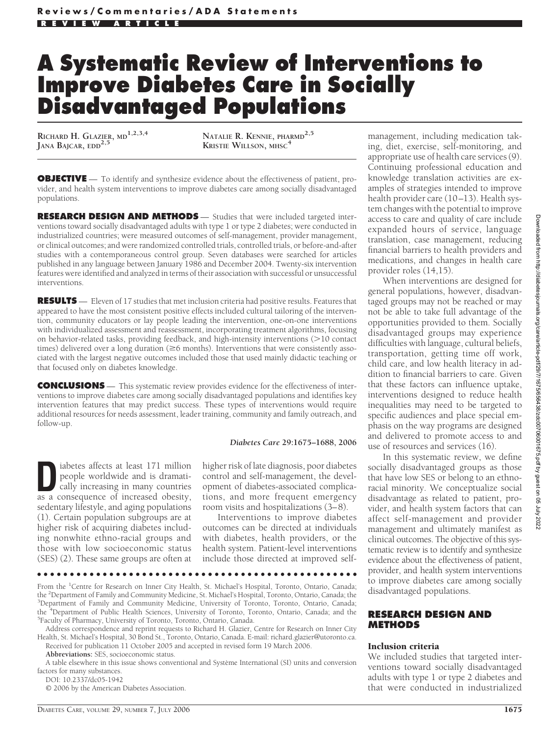# **A Systematic Review of Interventions to Improve Diabetes Care in Socially Disadvantaged Populations**

**RICHARD H. GLAZIER, MD1,2,3,4 JANA BAJCAR, EDD2,5**

**NATALIE R. KENNIE, PHARMD2,5 KRISTIE WILLSON, MHSC<sup>4</sup>**

**OBJECTIVE** — To identify and synthesize evidence about the effectiveness of patient, provider, and health system interventions to improve diabetes care among socially disadvantaged populations.

**RESEARCH DESIGN AND METHODS** — Studies that were included targeted interventions toward socially disadvantaged adults with type 1 or type 2 diabetes; were conducted in industrialized countries; were measured outcomes of self-management, provider management, or clinical outcomes; and were randomized controlled trials, controlled trials, or before-and-after studies with a contemporaneous control group. Seven databases were searched for articles published in any language between January 1986 and December 2004. Twenty-six intervention features were identified and analyzed in terms of their association with successful or unsuccessful interventions.

**RESULTS** — Eleven of 17 studies that met inclusion criteria had positive results. Features that appeared to have the most consistent positive effects included cultural tailoring of the intervention, community educators or lay people leading the intervention, one-on-one interventions with individualized assessment and reassessment, incorporating treatment algorithms, focusing on behavior-related tasks, providing feedback, and high-intensity interventions (>10 contact times) delivered over a long duration ( $\geq$ 6 months). Interventions that were consistently associated with the largest negative outcomes included those that used mainly didactic teaching or that focused only on diabetes knowledge.

**CONCLUSIONS** — This systematic review provides evidence for the effectiveness of interventions to improve diabetes care among socially disadvantaged populations and identifies key intervention features that may predict success. These types of interventions would require additional resources for needs assessment, leader training, community and family outreach, and follow-up.

#### *Diabetes Care* **29:1675–1688, 2006**

**D** iabetes affects at least 171 million people worldwide and is dramatically increasing in many countries people worldwide and is dramatically increasing in many countries as a consequence of increased obesity, sedentary lifestyle, and aging populations (1). Certain population subgroups are at higher risk of acquiring diabetes including nonwhite ethno-racial groups and those with low socioeconomic status (SES) (2). These same groups are often at

higher risk of late diagnosis, poor diabetes control and self-management, the development of diabetes-associated complications, and more frequent emergency room visits and hospitalizations (3–8).

Interventions to improve diabetes outcomes can be directed at individuals with diabetes, health providers, or the health system. Patient-level interventions include those directed at improved self-

●●●●●●●●●●●●●●●●●●●●●●●●●●●●●●●●●●●●●●●●●●●●●●●●●

From the <sup>1</sup>Centre for Research on Inner City Health, St. Michael's Hospital, Toronto, Ontario, Canada; the <sup>2</sup>Department of Family and Community Medicine, St. Michael's Hospital, Toronto, Ontario, Canada; the <sup>3</sup>Department of Family and Community Medicine, University of Toronto, Toronto, Ontario, Canada; <sup>3</sup>Department of Family and Community Medicine, University of Toronto, Toronto, Ontario, Canada; the <sup>4</sup>Department of Public Health Sciences, University of Toronto, Toronto, Ontario, Canada; and the <sup>5</sup>Eaculty of Pharmacy, University of Toronto, Toronto, Ontario, Canada <sup>5</sup>Faculty of Pharmacy, University of Toronto, Toronto, Ontario, Canada.

Address correspondence and reprint requests to Richard H. Glazier, Centre for Research on Inner City Health, St. Michael's Hospital, 30 Bond St., Toronto, Ontario, Canada. E-mail: richard.glazier@utoronto.ca. Received for publication 11 October 2005 and accepted in revised form 19 March 2006.

**Abbreviations:** SES, socioeconomic status.

A table elsewhere in this issue shows conventional and Système International (SI) units and conversion factors for many substances.

DOI: 10.2337/dc05-1942

© 2006 by the American Diabetes Association.

management, including medication taking, diet, exercise, self-monitoring, and appropriate use of health care services (9). Continuing professional education and knowledge translation activities are examples of strategies intended to improve health provider care (10–13). Health system changes with the potential to improve access to care and quality of care include expanded hours of service, language translation, case management, reducing financial barriers to health providers and medications, and changes in health care provider roles (14,15).

When interventions are designed for general populations, however, disadvantaged groups may not be reached or may not be able to take full advantage of the opportunities provided to them. Socially disadvantaged groups may experience difficulties with language, cultural beliefs, transportation, getting time off work, child care, and low health literacy in addition to financial barriers to care. Given that these factors can influence uptake, interventions designed to reduce health inequalities may need to be targeted to specific audiences and place special emphasis on the way programs are designed and delivered to promote access to and use of resources and services (16).

In this systematic review, we define socially disadvantaged groups as those that have low SES or belong to an ethnoracial minority. We conceptualize social disadvantage as related to patient, provider, and health system factors that can affect self-management and provider management and ultimately manifest as clinical outcomes. The objective of this systematic review is to identify and synthesize evidence about the effectiveness of patient, provider, and health system interventions to improve diabetes care among socially disadvantaged populations.

#### **RESEARCH DESIGN AND METHODS**

#### Inclusion criteria

We included studies that targeted interventions toward socially disadvantaged adults with type 1 or type 2 diabetes and that were conducted in industrialized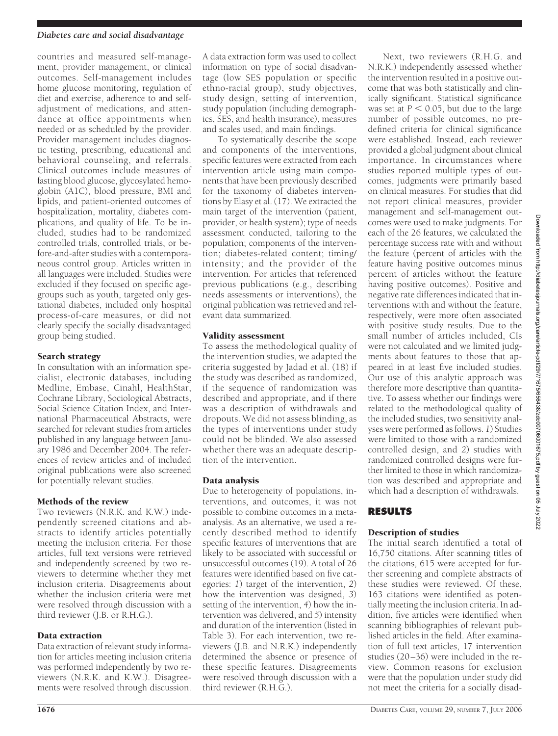countries and measured self-management, provider management, or clinical outcomes. Self-management includes home glucose monitoring, regulation of diet and exercise, adherence to and selfadjustment of medications, and attendance at office appointments when needed or as scheduled by the provider. Provider management includes diagnostic testing, prescribing, educational and behavioral counseling, and referrals. Clinical outcomes include measures of fasting blood glucose, glycosylated hemoglobin (A1C), blood pressure, BMI and lipids, and patient-oriented outcomes of hospitalization, mortality, diabetes complications, and quality of life. To be included, studies had to be randomized controlled trials, controlled trials, or before-and-after studies with a contemporaneous control group. Articles written in all languages were included. Studies were excluded if they focused on specific agegroups such as youth, targeted only gestational diabetes, included only hospital process-of-care measures, or did not clearly specify the socially disadvantaged group being studied.

#### Search strategy

In consultation with an information specialist, electronic databases, including Medline, Embase, Cinahl, HealthStar, Cochrane Library, Sociological Abstracts, Social Science Citation Index, and International Pharmaceutical Abstracts, were searched for relevant studies from articles published in any language between January 1986 and December 2004. The references of review articles and of included original publications were also screened for potentially relevant studies.

#### Methods of the review

Two reviewers (N.R.K. and K.W.) independently screened citations and abstracts to identify articles potentially meeting the inclusion criteria. For those articles, full text versions were retrieved and independently screened by two reviewers to determine whether they met inclusion criteria. Disagreements about whether the inclusion criteria were met were resolved through discussion with a third reviewer (J.B. or R.H.G.).

#### Data extraction

Data extraction of relevant study information for articles meeting inclusion criteria was performed independently by two reviewers (N.R.K. and K.W.). Disagreements were resolved through discussion.

A data extraction form was used to collect information on type of social disadvantage (low SES population or specific ethno-racial group), study objectives, study design, setting of intervention, study population (including demographics, SES, and health insurance), measures and scales used, and main findings.

To systematically describe the scope and components of the interventions, specific features were extracted from each intervention article using main components that have been previously described for the taxonomy of diabetes interventions by Elasy et al. (17). We extracted the main target of the intervention (patient, provider, or health system); type of needs assessment conducted, tailoring to the population; components of the intervention; diabetes-related content; timing/ intensity; and the provider of the intervention. For articles that referenced previous publications (e.g., describing needs assessments or interventions), the original publication was retrieved and relevant data summarized.

#### Validity assessment

To assess the methodological quality of the intervention studies, we adapted the criteria suggested by Jadad et al. (18) if the study was described as randomized, if the sequence of randomization was described and appropriate, and if there was a description of withdrawals and dropouts. We did not assess blinding, as the types of interventions under study could not be blinded. We also assessed whether there was an adequate description of the intervention.

#### Data analysis

Due to heterogeneity of populations, interventions, and outcomes, it was not possible to combine outcomes in a metaanalysis. As an alternative, we used a recently described method to identify specific features of interventions that are likely to be associated with successful or unsuccessful outcomes (19). A total of 26 features were identified based on five categories: *1*) target of the intervention, *2*) how the intervention was designed, *3*) setting of the intervention, *4*) how the intervention was delivered, and *5*) intensity and duration of the intervention (listed in Table 3). For each intervention, two reviewers (J.B. and N.R.K.) independently determined the absence or presence of these specific features. Disagreements were resolved through discussion with a third reviewer (R.H.G.).

Next, two reviewers (R.H.G. and N.R.K.) independently assessed whether the intervention resulted in a positive outcome that was both statistically and clinically significant. Statistical significance was set at  $P < 0.05$ , but due to the large number of possible outcomes, no predefined criteria for clinical significance were established. Instead, each reviewer provided a global judgment about clinical importance. In circumstances where studies reported multiple types of outcomes, judgments were primarily based on clinical measures. For studies that did not report clinical measures, provider management and self-management outcomes were used to make judgments. For each of the 26 features, we calculated the percentage success rate with and without the feature (percent of articles with the feature having positive outcomes minus percent of articles without the feature having positive outcomes). Positive and negative rate differences indicated that interventions with and without the feature, respectively, were more often associated with positive study results. Due to the small number of articles included, CIs were not calculated and we limited judgments about features to those that appeared in at least five included studies. Our use of this analytic approach was therefore more descriptive than quantitative. To assess whether our findings were related to the methodological quality of the included studies, two sensitivity analyses were performed as follows. *1*) Studies were limited to those with a randomized controlled design, and *2*) studies with randomized controlled designs were further limited to those in which randomization was described and appropriate and which had a description of withdrawals.

#### **RESULTS**

#### Description of studies

The initial search identified a total of 16,750 citations. After scanning titles of the citations, 615 were accepted for further screening and complete abstracts of these studies were reviewed. Of these, 163 citations were identified as potentially meeting the inclusion criteria. In addition, five articles were identified when scanning bibliographies of relevant published articles in the field. After examination of full text articles, 17 intervention studies (20–36) were included in the review. Common reasons for exclusion were that the population under study did not meet the criteria for a socially disad-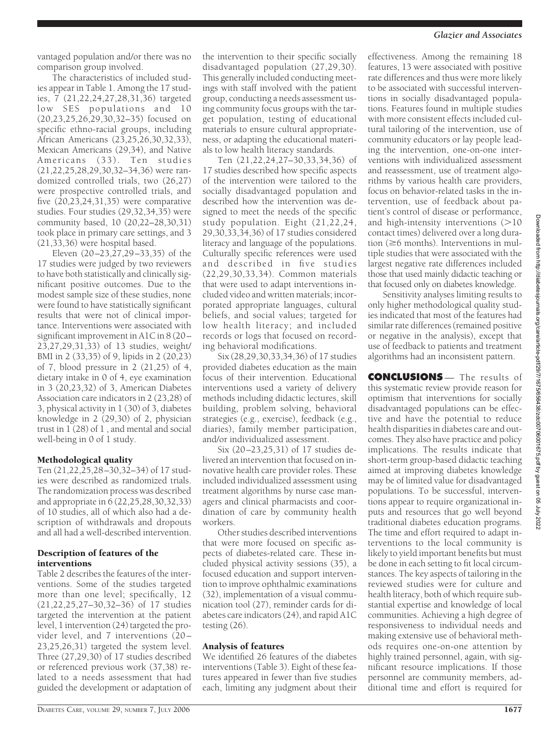#### *Glazier and Associates*

vantaged population and/or there was no comparison group involved.

The characteristics of included studies appear in Table 1. Among the 17 studies, 7 (21,22,24,27,28,31,36) targeted low SES populations and 10 (20,23,25,26,29,30,32–35) focused on specific ethno-racial groups, including African Americans (23,25,26,30,32,33), Mexican Americans (29,34), and Native Americans (33). Ten studies (21,22,25,28,29,30,32–34,36) were randomized controlled trials, two (26,27) were prospective controlled trials, and five (20,23,24,31,35) were comparative studies. Four studies (29,32,34,35) were community based, 10 (20,22–28,30,31) took place in primary care settings, and 3 (21,33,36) were hospital based.

Eleven (20–23,27,29–33,35) of the 17 studies were judged by two reviewers to have both statistically and clinically significant positive outcomes. Due to the modest sample size of these studies, none were found to have statistically significant results that were not of clinical importance. Interventions were associated with significant improvement in A1C in 8 (20– 23,27,29,31,33) of 13 studies, weight/ BMI in 2 (33,35) of 9, lipids in 2 (20,23) of 7, blood pressure in 2 (21,25) of 4, dietary intake in 0 of 4, eye examination in 3 (20,23,32) of 3, American Diabetes Association care indicators in 2 (23,28) of 3, physical activity in 1 (30) of 3, diabetes knowledge in 2 (29,30) of 2, physician trust in 1 (28) of 1 , and mental and social well-being in 0 of 1 study.

#### Methodological quality

Ten (21,22,25,28–30,32–34) of 17 studies were described as randomized trials. The randomization process was described and appropriate in  $\bar{6}$  (22,25,28,30,32,33) of 10 studies, all of which also had a description of withdrawals and dropouts and all had a well-described intervention.

#### Description of features of the interventions

Table 2 describes the features of the interventions. Some of the studies targeted more than one level; specifically, 12 (21,22,25,27–30,32–36) of 17 studies targeted the intervention at the patient level, 1 intervention (24) targeted the provider level, and 7 interventions (20– 23,25,26,31) targeted the system level. Three (27,29,30) of 17 studies described or referenced previous work (37,38) related to a needs assessment that had guided the development or adaptation of the intervention to their specific socially disadvantaged population (27,29,30). This generally included conducting meetings with staff involved with the patient group, conducting a needs assessment using community focus groups with the target population, testing of educational materials to ensure cultural appropriateness, or adapting the educational materials to low health literacy standards.

Ten (21,22,24,27–30,33,34,36) of 17 studies described how specific aspects of the intervention were tailored to the socially disadvantaged population and described how the intervention was designed to meet the needs of the specific study population. Eight  $(21, 22, 24, 1)$ 29,30,33,34,36) of 17 studies considered literacy and language of the populations. Culturally specific references were used and described in five studies (22,29,30,33,34). Common materials that were used to adapt interventions included video and written materials; incorporated appropriate languages, cultural beliefs, and social values; targeted for low health literacy; and included records or logs that focused on recording behavioral modifications.

Six (28,29,30,33,34,36) of 17 studies provided diabetes education as the main focus of their intervention. Educational interventions used a variety of delivery methods including didactic lectures, skill building, problem solving, behavioral strategies (e.g., exercise), feedback (e.g., diaries), family member participation, and/or individualized assessment.

Six (20–23,25,31) of 17 studies delivered an intervention that focused on innovative health care provider roles. These included individualized assessment using treatment algorithms by nurse case managers and clinical pharmacists and coordination of care by community health workers.

Other studies described interventions that were more focused on specific aspects of diabetes-related care. These included physical activity sessions (35), a focused education and support intervention to improve ophthalmic examinations (32), implementation of a visual communication tool (27), reminder cards for diabetes care indicators (24), and rapid A1C testing (26).

#### Analysis of features

We identified 26 features of the diabetes interventions (Table 3). Eight of these features appeared in fewer than five studies each, limiting any judgment about their effectiveness. Among the remaining 18 features, 13 were associated with positive rate differences and thus were more likely to be associated with successful interventions in socially disadvantaged populations. Features found in multiple studies with more consistent effects included cultural tailoring of the intervention, use of community educators or lay people leading the intervention, one-on-one interventions with individualized assessment and reassessment, use of treatment algorithms by various health care providers, focus on behavior-related tasks in the intervention, use of feedback about patient's control of disease or performance, and high-intensity interventions  $(>10$ contact times) delivered over a long duration  $(\geq 6$  months). Interventions in multiple studies that were associated with the largest negative rate differences included those that used mainly didactic teaching or that focused only on diabetes knowledge.

Sensitivity analyses limiting results to only higher methodological quality studies indicated that most of the features had similar rate differences (remained positive or negative in the analysis), except that use of feedback to patients and treatment algorithms had an inconsistent pattern.

**CONCLUSIONS** — The results of this systematic review provide reason for optimism that interventions for socially disadvantaged populations can be effective and have the potential to reduce health disparities in diabetes care and outcomes. They also have practice and policy implications. The results indicate that short-term group-based didactic teaching aimed at improving diabetes knowledge may be of limited value for disadvantaged populations. To be successful, interventions appear to require organizational inputs and resources that go well beyond traditional diabetes education programs. The time and effort required to adapt interventions to the local community is likely to yield important benefits but must be done in each setting to fit local circumstances. The key aspects of tailoring in the reviewed studies were for culture and health literacy, both of which require substantial expertise and knowledge of local communities. Achieving a high degree of responsiveness to individual needs and making extensive use of behavioral methods requires one-on-one attention by highly trained personnel, again, with significant resource implications. If those personnel are community members, additional time and effort is required for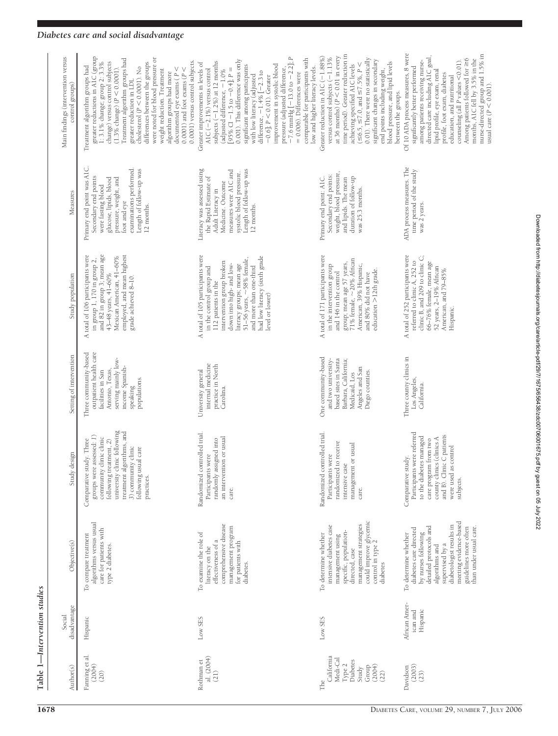| Main findings (intervention versus<br>control groups) | greater reductions in A1C (group<br>were noted for blood pressure or<br>Treatment algorithm groups had<br>0.0001) versus control subjects.<br>$\overline{1}$ : 3.1% change; group 2: 3.3%<br>change) versus control subjects<br>differences between the groups<br>Treatment algorithm groups had<br>cholesterol $(P < 0.0001)$ . No<br>documented eye exams ( $P \le$<br>0.0001) and foot exams ( $P \le$<br>$(1.3\% \text{ change}) (P < 0.0001)$<br>weight reduction. Treatment<br>algorithm groups had more<br>greater reduction in LDL | $-7.6$ mmHg $[-13.0$ to $-2.2$ ]; P<br>= 0.006). Differences were<br>comparable for participants with<br>0.001). This difference was only<br>subjects (-1.2%) at 12 months<br>Greater improvements in levels of<br>improvement in systolic blood<br>significant among participants<br>low and higher literacy levels.<br>pressure (adjusted difference,<br>[95% CI -1.5 to -0.4]; $P =$<br>A1C $(-2.1\%)$ versus control<br>(adjusted difference, $-1.0\%$<br>difference, $-1.4\%$ $\left[-2.3 \text{ to } -0.6\right]$ ; $P < 0.01$ ). Greater<br>with low literacy (adjusted | time period). Greater reduction in<br>at 36 months) ( $P < 0.01$ in every<br>Greater reduction in A1C (-1.88%)<br>versus control subjects (-1.13%<br>0.01). There were no statistically<br>significant changes in secondary<br>blood pressure, and lipid levels<br>( $\leq 6.5$ , $\leq 7.0$ , and $\leq 7.5\%$ , $P \leq$<br>achieving specified AIC levels<br>end points including weight,<br>between the groups. | Of 10 ADA process measures, 8 were<br>nurse-directed group and 1.5% in<br>usual care ( $P < 0.001$ ).<br>directed care including A1C goal,<br>months, A1C fell by 3.5% in the<br>Among patients followed for $\geq 6$<br>among patients receiving nurse-<br>counseling (all $P$ values $<\!0.01)$<br>significantly better performed<br>lipid profile, eye exam, renal<br>profile, foot exam, diabetes<br>education, and nutritional |
|-------------------------------------------------------|--------------------------------------------------------------------------------------------------------------------------------------------------------------------------------------------------------------------------------------------------------------------------------------------------------------------------------------------------------------------------------------------------------------------------------------------------------------------------------------------------------------------------------------------|--------------------------------------------------------------------------------------------------------------------------------------------------------------------------------------------------------------------------------------------------------------------------------------------------------------------------------------------------------------------------------------------------------------------------------------------------------------------------------------------------------------------------------------------------------------------------------|---------------------------------------------------------------------------------------------------------------------------------------------------------------------------------------------------------------------------------------------------------------------------------------------------------------------------------------------------------------------------------------------------------------------|-------------------------------------------------------------------------------------------------------------------------------------------------------------------------------------------------------------------------------------------------------------------------------------------------------------------------------------------------------------------------------------------------------------------------------------|
| Measures                                              | Primary end point was A1C.<br>examinations performed.<br>Length of follow-up was<br>Secondary end points<br>glucose, lipids, blood<br>pressure, weight, and<br>were fasting blood<br>foot and eye<br>12 months.                                                                                                                                                                                                                                                                                                                            | Literacy was assessed using<br>Length of follow-up was<br>measures were A1C and<br>systolic blood pressure.<br>the Rapid Estimate of<br>Medicine. Outcome<br>Adult Literacy in<br>12 months.                                                                                                                                                                                                                                                                                                                                                                                   | weight, blood pressure,<br>Secondary end points:<br>Primary end point: A1C.<br>and lipids. The mean<br>duration of follow-up<br>was 25.3 months.                                                                                                                                                                                                                                                                    | ADA process measures. The<br>time period of the study<br>was 2 years.                                                                                                                                                                                                                                                                                                                                                               |
| Study population                                      | employed, and mean highest<br>A total of 106 participants were<br>and 82 in group 3; mean age<br>Mexican American, 41-60%<br>in group 1, 170 in group 2,<br>43-48 years, 41-60%<br>grade achieved 8-10.                                                                                                                                                                                                                                                                                                                                    | A total of 105 participants were<br>had low literacy (sixth grade<br>51-56 years, $\sim$ 58% female,<br>intervention group broken<br>down into high- and low-<br>literacy groups; mean age<br>and more than one-third<br>in the control group and<br>112 patients in the<br>level or lower)                                                                                                                                                                                                                                                                                    | A total of 171 participants were<br>group; mean age 57 years,<br>71% female, ~20% African<br>American, 39% Hispanic,<br>in the intervention group<br>education $>$ 12th grade.<br>and 146 in the control<br>and 80% did not have                                                                                                                                                                                    | A total of 252 participants were<br>clinic B, and 209 to clinic C;<br>referred to clinic A, 252 to<br>66-76% female, mean age<br>52 years, 2-19% African<br>American, and 79-85%<br>Hispanic.                                                                                                                                                                                                                                       |
| Setting of intervention                               | Three community-based<br>outpatient health care<br>serving mainly low-<br>income Spanish-<br>Antonio, Texas,<br>facilities in San<br>populations.<br>speaking                                                                                                                                                                                                                                                                                                                                                                              | University general<br>internal medicine<br>practice in North<br>Carolina.                                                                                                                                                                                                                                                                                                                                                                                                                                                                                                      | One community-based<br>and two university-<br>based sites in Santa<br>Barbara, California;<br>Angeles and San<br>Diego counties.<br>Medicaid, Los                                                                                                                                                                                                                                                                   | Three county clinics in<br>Los Angeles,<br>California.                                                                                                                                                                                                                                                                                                                                                                              |
| Study design                                          | university clinic following<br>treatment algorithms, and<br>groups were assessed: 1)<br>community clinic clinic<br>following treatment, 2)<br>study. Three<br>3) community clinic<br>following usual care<br>Comparative<br>practices.                                                                                                                                                                                                                                                                                                     | controlled trial.<br>an intervention or usual<br>assigned into<br>Participants were<br>Randomized<br>randomly<br>care.                                                                                                                                                                                                                                                                                                                                                                                                                                                         | Randomized controlled trial.<br>randomized to receive<br>management or usual<br>Participants were<br>intensive case<br>care.                                                                                                                                                                                                                                                                                        | Participants were referred<br>county clinics (clinics A<br>and B). Clinic C patients<br>to the diabetes managed<br>care program from two<br>as control<br>Comparative study.<br>were used<br>subjects.                                                                                                                                                                                                                              |
| Objective(s)                                          | algorithms versus usual<br>care for patients with<br>To compare treatment<br>type 2 diabetes.                                                                                                                                                                                                                                                                                                                                                                                                                                              | comprehensive disease<br>management program<br>To examine the role of<br>effectiveness of a<br>for patients with<br>literacy on the<br>diabetes.                                                                                                                                                                                                                                                                                                                                                                                                                               | management strategies<br>could improve glycemic<br>intensive diabetes case<br>specific, population-<br>To determine whether<br>management using<br>control in type 2<br>directed, case<br>diabetes                                                                                                                                                                                                                  | meeting evidence-based<br>diabetologist results in<br>than under usual care.<br>detailed protocols and<br>guidelines more often<br>diabetes care directed<br>by nurses following<br>To determine whether<br>supervised by a<br>algorithms and                                                                                                                                                                                       |
| disadvantage<br>Social                                | Hispanic                                                                                                                                                                                                                                                                                                                                                                                                                                                                                                                                   | Low SES                                                                                                                                                                                                                                                                                                                                                                                                                                                                                                                                                                        | Low SES                                                                                                                                                                                                                                                                                                                                                                                                             | African Amer-<br>Hispanic<br>ican and                                                                                                                                                                                                                                                                                                                                                                                               |
| Author(s)                                             | Fanning et al.<br>(2004)<br>(20)                                                                                                                                                                                                                                                                                                                                                                                                                                                                                                           | al. (2004)<br>Rothman et<br>(21)                                                                                                                                                                                                                                                                                                                                                                                                                                                                                                                                               | California<br>Medi-Cal<br>Diabetes<br>Type 2<br>Group<br>(2004)<br>Study<br>(22)<br>The                                                                                                                                                                                                                                                                                                                             | (2003)<br>Davidson<br>(23)                                                                                                                                                                                                                                                                                                                                                                                                          |

**Table 1—***Intervention studies*

Table 1-Intervention studies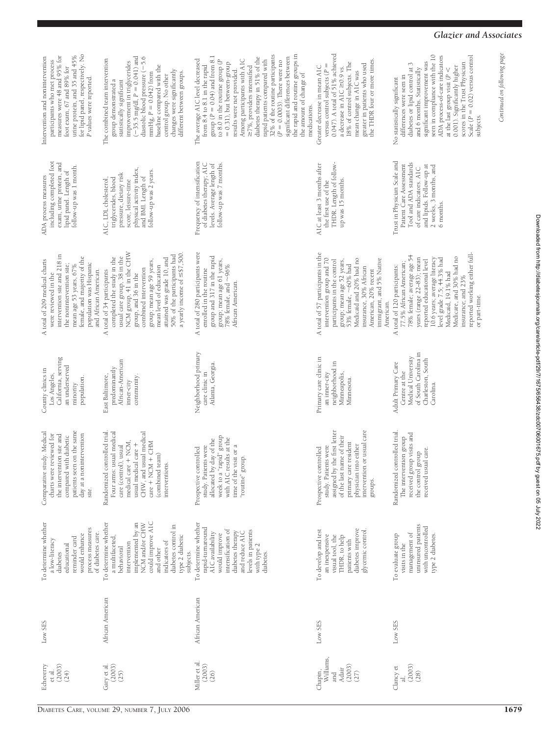| ì<br>Ş                                   |
|------------------------------------------|
|                                          |
| I                                        |
| Ï                                        |
|                                          |
|                                          |
|                                          |
|                                          |
|                                          |
|                                          |
|                                          |
|                                          |
|                                          |
| ĺ                                        |
|                                          |
| j                                        |
| $\frac{1}{2}$                            |
| ׅ֬֝֓                                     |
|                                          |
| j                                        |
|                                          |
|                                          |
|                                          |
|                                          |
| l                                        |
|                                          |
|                                          |
|                                          |
|                                          |
|                                          |
|                                          |
|                                          |
|                                          |
| ı                                        |
| $\ddot{\phantom{a}}$                     |
| i                                        |
|                                          |
| י                                        |
|                                          |
|                                          |
|                                          |
|                                          |
| i<br>l                                   |
|                                          |
| i<br>ı                                   |
|                                          |
|                                          |
| <br>l                                    |
|                                          |
|                                          |
| -<br>-<br>-<br>-                         |
| l                                        |
| İ<br>ı                                   |
|                                          |
|                                          |
|                                          |
|                                          |
|                                          |
| $\ddot{\phantom{a}}$<br>)<br>1           |
| í                                        |
|                                          |
| j                                        |
|                                          |
|                                          |
|                                          |
|                                          |
| ֦                                        |
|                                          |
| ĺ                                        |
| <b>Children</b> 10, 10, 10, 10           |
| ֧ׅׅ֧֚֚֚֚֚֚֚֚֚֚֚֚֚֚֚֚֚֚֚֚֚֚֚֬֡֓֡֓֡֡֓֡֡֓֡֓ |
|                                          |
|                                          |
|                                          |
|                                          |
| - 14<br>3<br>3<br>2                      |

#### *Glazier and Associates*

*Continued on following page*

Continued on following page

| for lipid panel, respectively. No<br>measures were 48 and 95% for<br>urine protein, and 35 and 45%<br>Intervention and nonintervention<br>participants who met process<br>foot exam, 67 and 89% for<br>P values were reported.  | $(-35.5 \text{ mg/dl}, P = 0.041)$ and<br>diastolic blood pressure (-5.6<br>The combined team intervention<br>improvement in triglycerides<br>baseline compared with the<br>changes were significantly<br>mmHg, $P = 0.\overline{042}$ ) from<br>different between groups.<br>control group. No other<br>group demonstrated a<br>statistically significant | the rapid and routine groups in<br>32% of the routine participants<br>group $(P = 0.04)$ and from 8.1<br>diabetes therapy in 51% of the<br>significant differences between<br>Among participants with A1C<br>The average A1C level decreased<br>to 8.0 in the routine group $(P$<br>rapid patients compared with<br>$(P=0.0003).$ There were no<br>$= 0.31$ ), but between-group<br>from 8.4 to 8.1 in the rapid<br>≥7%, providers intensified<br>results were not provided.<br>the amount of change of<br>medications. | 0.047). A total of 51% achieved<br>the THDR four or more times<br>18% of control subjects. The<br>greater in patients who used<br>versus control subjects $(P =$<br>Greater decrease in mean A1C<br>a decrease in A1C $\geq$ 0.9 vs.<br>mean change in A1C was           | seen in compliance with the 10<br>ADA process-of-care indicators<br>Scale ( $P = 0.02$ ) versus control<br>significant improvement was<br>scores in the Trust Physician<br>diabetes or lipid control at 3<br>0.001). Significantly higher<br>and 6 months. Statistically<br>at the last group visit ( $P \le$<br>differences were seen in<br>No statistically significant<br>subjects. |
|---------------------------------------------------------------------------------------------------------------------------------------------------------------------------------------------------------------------------------|------------------------------------------------------------------------------------------------------------------------------------------------------------------------------------------------------------------------------------------------------------------------------------------------------------------------------------------------------------|-------------------------------------------------------------------------------------------------------------------------------------------------------------------------------------------------------------------------------------------------------------------------------------------------------------------------------------------------------------------------------------------------------------------------------------------------------------------------------------------------------------------------|--------------------------------------------------------------------------------------------------------------------------------------------------------------------------------------------------------------------------------------------------------------------------|----------------------------------------------------------------------------------------------------------------------------------------------------------------------------------------------------------------------------------------------------------------------------------------------------------------------------------------------------------------------------------------|
| including completed foot<br>exam, urine protein, and<br>follow-up was 1 month.<br>lipid panel. Length of<br>ADA process measures                                                                                                | physical activity index,<br>follow-up was 2 years.<br>pressure, dietary risk<br>and BMI. Length of<br>triglycerides, blood<br>AIC, LDL cholesterol.<br>score, leisure-time                                                                                                                                                                                 | Frequency of intensification<br>of diabetes therapy; A1C<br>levels. Average length of<br>follow-up was 7 months.                                                                                                                                                                                                                                                                                                                                                                                                        | A1C at least 3 months after<br>THDR. Length of follow-<br>up was 15 months.<br>the first use of the                                                                                                                                                                      | Trust in Physician Scale and<br>Tool and ADA standards<br>Patient Care Assessment<br>and lipids. Follow-up at<br>2 weeks, 3 months, and<br>of care indicators. AIC<br>6 months.                                                                                                                                                                                                        |
| intervention site and 218 in<br>female, and majority of the<br>A total of 209 medical charts<br>population was Hispanic<br>the nonintervention site;<br>mean age 53 years, 67%<br>and African American.<br>were reviewed in the | usual care group, 38 in the<br>NCM group, 41 in the CHW<br>a yearly income of $\leq$ \$7,500.<br>50% of the participants had<br>completed the study in the<br>attained was grade 10, and<br>group; mean age 59 years,<br>mean level of education<br>combined intervention<br>A total of 34 participants<br>group, and 36 in the                            | A total of 280 participants were<br>group and 317 in the rapid<br>group; mean age 61 years,<br>$78\%$ female, and $\sim96\%$<br>enrolled in the routine<br>African American.                                                                                                                                                                                                                                                                                                                                            | A total of 57 participants in the<br>intervention group and 70<br>Medicaid and 20% had no<br>immigrant, and 5% Native<br>participants in the control<br>group; mean age 52 years,<br>53% female, ~60% had<br>insurance, 30% African<br>American, 20% recent<br>American. | reported working either full-<br>78% female; average age 54<br>Medicare, and 30% had no<br>10.6 years; average literacy<br>level grade $7.5$ ; 44.3% had<br>years (range 22-83); mean<br>reported educational level<br>77.5% African American;<br>A total of 120 participants:<br>Medicaid, 19.1% had<br>insurance; and 23%<br>or part-time.                                           |
| California, serving<br>an underserved<br>County clinics in<br>Los Angeles,<br>population.<br>minority                                                                                                                           | African-American<br>predominantly<br>community.<br>East Baltimore,<br>inner-city                                                                                                                                                                                                                                                                           | Neighborhood primary<br>Atlanta, Georgia.<br>care clinic in                                                                                                                                                                                                                                                                                                                                                                                                                                                             | Primary care clinic in<br>neighborhood in<br>Minneapolis,<br>an inner-city<br>Minnesota.                                                                                                                                                                                 | of South Carolina in<br>Medical University<br>Charleston, South<br>Adult Primary Care<br>Centre at the<br>Carolina.                                                                                                                                                                                                                                                                    |
| patients seen on the same<br>Comparative study. Medical<br>charts were reviewed for<br>day at a nonintervention<br>the intervention site and<br>compared with diabetic<br>site.                                                 | Randomized controlled trial<br>Four arms: usual medical<br>CHW, and usual medical<br>medical care + NCM,<br>$care + NCM + CHM$<br>usual medical care +<br>care (control), usual<br>(combined team)<br>interventions.                                                                                                                                       | week to a "rapid" group<br>with A1C results at the<br>allocated by day of the<br>time of the visit or a<br>study. Patients were<br>Prospective controlled<br>group.<br>"routine"                                                                                                                                                                                                                                                                                                                                        | assigned by the first letter<br>intervention or usual care<br>of the last name of their<br>primary care resident<br>physician into either<br>study. Patients were<br>Prospective controlled<br>groups.                                                                   | Randomized controlled trial<br>received group visits and<br>The intervention group<br>received usual care.<br>the control group                                                                                                                                                                                                                                                        |
| To determine whether<br>process measures<br>of diabetes care<br>would enhance<br>reminder card<br>a low-literacy<br>educational<br>diabetes                                                                                     | To determine whether<br>could improve A1C<br>implemented by an<br>NCM and/or CHW<br>diabetes control in<br>type 2 diabetic<br>a multifaceted,<br>indicators of<br>intervention<br>behavioral<br>and other<br>subjects.                                                                                                                                     | To determine whether<br>rapid-turnaround<br>intensification of<br>levels in patients<br>diabetes therapy<br>and reduce A <sub>1</sub> C<br>AlC availability<br>would improve<br>with type 2<br>diabetes.                                                                                                                                                                                                                                                                                                                | diabetes improve<br>glycemic control.<br>To develop and test<br>an inexpensive<br>visual tool, the<br>THDR, to help<br>patients with                                                                                                                                     | uninsured patients<br>with uncontrolled<br>management of<br>To evaluate group<br>type 2 diabetes.<br>visits in the                                                                                                                                                                                                                                                                     |
| Low SES                                                                                                                                                                                                                         | African American                                                                                                                                                                                                                                                                                                                                           | African American                                                                                                                                                                                                                                                                                                                                                                                                                                                                                                        | Low SES                                                                                                                                                                                                                                                                  | Low SES                                                                                                                                                                                                                                                                                                                                                                                |
| (2003)<br>Echeverry<br>et al.<br>(24)                                                                                                                                                                                           | Gary et al.<br>(2003)<br>(25)                                                                                                                                                                                                                                                                                                                              | Miller et al.<br>(2003)<br>(26)                                                                                                                                                                                                                                                                                                                                                                                                                                                                                         | Williams,<br>(2003)<br>Adair<br>Chapin,<br>and<br>(27)                                                                                                                                                                                                                   | (2003)<br>Clancy et<br>(28)<br>ನ                                                                                                                                                                                                                                                                                                                                                       |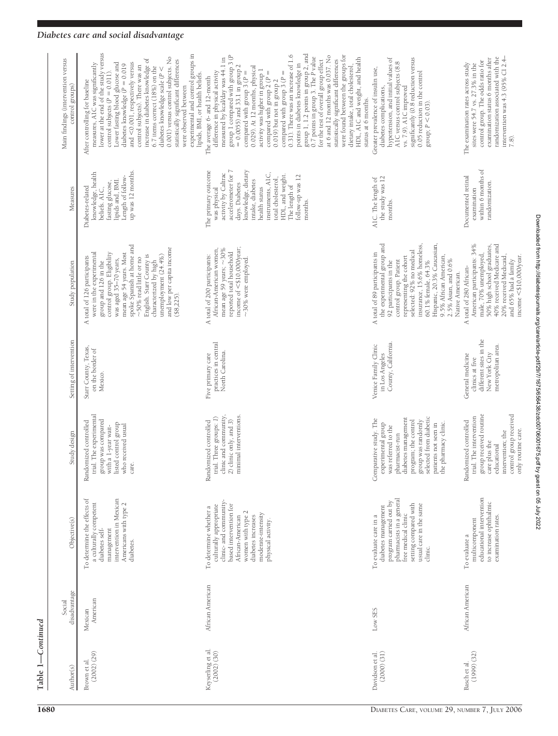# $Table 1—Continued$ **Table 1—***Continued*

| $\frac{\text{Author}(s)}{s}$ | disadvantage<br>Social | Objective(s)                                                                                                                                                                                                    | Study design                                                                                                                                                                                                                         | Setting of intervention                                                                              | Study population                                                                                                                                                                                                                                                                                                                                          | Measures                                                                                                                                                                                                                                                                      | Main findings (intervention versus<br>control groups)                                                                                                                                                                                                                                                                                                                                                                                                                                                                                                                                                                                                                                                                                                                                                    |
|------------------------------|------------------------|-----------------------------------------------------------------------------------------------------------------------------------------------------------------------------------------------------------------|--------------------------------------------------------------------------------------------------------------------------------------------------------------------------------------------------------------------------------------|------------------------------------------------------------------------------------------------------|-----------------------------------------------------------------------------------------------------------------------------------------------------------------------------------------------------------------------------------------------------------------------------------------------------------------------------------------------------------|-------------------------------------------------------------------------------------------------------------------------------------------------------------------------------------------------------------------------------------------------------------------------------|----------------------------------------------------------------------------------------------------------------------------------------------------------------------------------------------------------------------------------------------------------------------------------------------------------------------------------------------------------------------------------------------------------------------------------------------------------------------------------------------------------------------------------------------------------------------------------------------------------------------------------------------------------------------------------------------------------------------------------------------------------------------------------------------------------|
|                              | American<br>Mexican    | intervention in Mexican<br>To determine the effects of<br>Americans with type 2<br>a culturally competent<br>diabetes self-<br>management<br>diabetes.                                                          | trial. The experimental<br>group was compared<br>with a 1-year wait-<br>Randomized controlled<br>listed control group<br>who received usual<br>care.                                                                                 | Starr County, Texas,<br>on the border of<br>Mexico.                                                  | spoke Spanish at home and<br>and low per capita income<br>were in the experimental<br>mean age 54 years. Most<br>control group. Eligibility<br>English. Starr County is<br>unemployment (24.4%)<br>A total of 126 participants<br>$\sim\!50\%$ read little or no<br>was aged 35-70 years,<br>characterized by high<br>group and 126 in the<br>( \$8, 225) | up was 12 months.<br>knowledge, health<br>Length of follow-<br>lipids and, BMI.<br>fasting glucose,<br>Diabetes-related<br>beliefs. A1C,                                                                                                                                      | lower at the end of the study versus<br>experimental and control groups in<br>0.001) versus control subjects. No<br>increase in diabetes knowledge of<br>statistically significant differences<br>and $<$ 0.001, respectively versus<br>measures, A1C was significantly<br>Lower fasting blood glucose and<br>diabetes knowledge (P = 0.019<br>control subjects). There was an<br>6.7 items correct (18%) on the<br>diabetes knowledge scale ( $P <$<br>control subjects ( $P = 0.011$ ).<br>lipids, BMI, or health beliefs.<br>After controlling for baseline<br>were observed between                                                                                                                                                                                                                  |
|                              | African American       | clinic- and community-<br>based intervention for<br>culturally appropriate<br>To determine whether a<br>women with type 2<br>moderate-intensity<br>diabetes increases<br>African-American<br>physical activity. | 2) clinic only, and 3) minimal interventions.<br>clinic and community<br>trial. Three groups: 1)<br>Randomized controlled                                                                                                            | practices in central<br>North Carolina.<br>Five primary care                                         | income of <\$10,000/year;<br>mean age 59 years; $\sim$ 30%<br>African-American women<br>reported total household<br>A total of 200 participants:<br>$\sim$ 30% were employed.                                                                                                                                                                             | accelerometer for 7<br>knowledge, dietary<br>The primary outcome<br>activity by Caltrac<br>instruments, A1C,<br>HDL, and weight.<br>follow-up was 12<br>total cholesterol,<br>intake, diabetes<br>days. Diabetes<br>The length of<br>health status<br>was physical<br>months. | group 1, 1.2 points in group 2, and $\overline{0.7}$ points in group 3. The P value<br>0.31). There was an increase of 1.6<br>group 1 compared with group 3 (P<br>at 6 and 12 months was 0.037. No<br>were found between the groups for<br>measured by kcal/day was 44.1 in<br>HDL, A1C and weight, and health<br>statistically significant differences<br>for the test of overall group effect<br>points in diabetes knowledge in<br>dietary intake, total cholesterol,<br>$= 0.0055$ ) and 33.1 in group 2<br>0.029). At 12 months, physical<br>activity was higher in group 1<br>difference in physical activity<br>compared with group 3 $(P =$<br>compared with group $2(P =$<br>compared with group $3 (P =$<br>The average 6- and 12-month<br>$0.019$ but not in group $2$<br>status at 6 months. |
|                              | Low SES                | pharmacists in a general<br>program carried out by<br>setting compared with<br>usual care in the same<br>diabetes management<br>free medical clinic<br>To evaluate care in a<br>clinic.                         | selected from diabetic<br>pharmacist-run<br>diabetes management<br>Comparative study. The<br>group was randomly<br>program; the control<br>experimental group<br>was referred to the<br>patients not seen in<br>the pharmacy clinic. | County, California.<br>Venice Family Clinic<br>in Los Angeles                                        | Hispanic, 20.3% Caucasian,<br>the experimental group and<br>selected: 92% no medical<br>insurance, 15.6% homeless,<br>A total of 89 participants in<br>9.5% African American,<br>representing the cohort<br>$2.5\%$ Asian, and $0.6\%$<br>control group. Patient<br>60.1% female, 64.3%<br>92 participants in the<br>Native American.                     | the study was 12<br>AIC. The length of<br>months.                                                                                                                                                                                                                             | significantly (0.8 reduction versus<br>hypertension, and initial values of<br>A1C versus control subjects (8.8<br>Greater prevalence of insulin use,<br>0.05 reduction in the control<br>diabetes complications,<br>vs. 7.9). A1C improved<br>group; $P < 0.03$ ).                                                                                                                                                                                                                                                                                                                                                                                                                                                                                                                                       |
|                              | African American       | educational intervention<br>to increase ophthalmic<br>examination rates.<br>multicomponent<br>$\operatorname{\mathsf{To}}$ evaluate a                                                                           | group received routine<br>care plus the<br>control group received<br>trial. The intervention<br>Randomized controlled<br>only routine care.<br>intervention; the<br>educational                                                      | different sites in the<br>metropolitan area.<br>New York City<br>General medicine<br>clinics at five | American participants: 34%<br>40% received Medicare and<br>50% high school graduates,<br>male, 70% unemployed,<br>20% received Medicaid,<br>$income < $10,000$ /year<br>and 65% had a family<br>A total of 280 African-                                                                                                                                   | within 6 months of<br>Documented retinal<br>randomization.<br>examination                                                                                                                                                                                                     | randomization associated with the<br>intervention was 4.3 (95% CI 2.4-<br>examination status 6 months after<br>control group. The odds ratio for<br>The examination rates across study<br>sites were 54.7 vs. 27.3% in the<br>$\frac{2}{1}$                                                                                                                                                                                                                                                                                                                                                                                                                                                                                                                                                              |

# *Diabetes care and social disadvantage*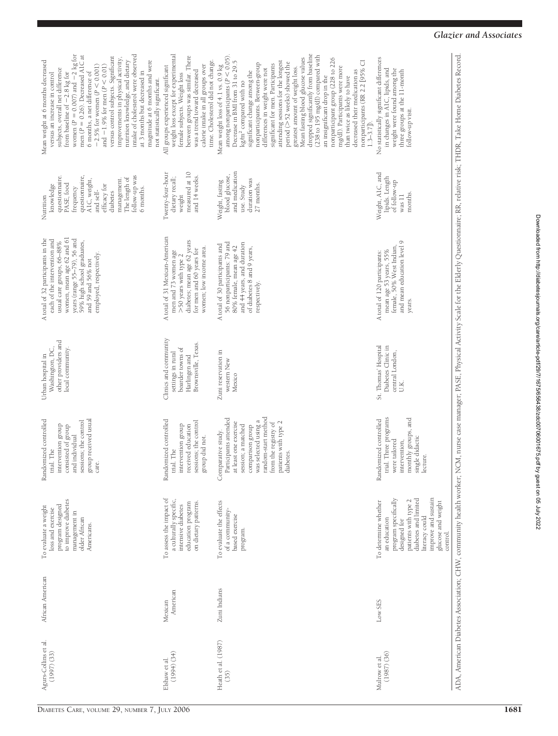| intake of cholesterol were observed<br>from baseline of $-2.8$ kg for<br>women ( $P = 0.007$ ) and $-2$ kg for<br>men ( $P = 0.26$ ). Decreased A1C at<br>versus control subjects. Significant<br>improvements in physical activity,<br>nutrition knowledge, and dietary<br>magnitude at 6 months and were<br>Mean weight at 6 months decreased<br>$-2.5\%$ for women ( $P < 0.001$ )<br>and $-1.9\%$ for men ( $P < 0.01$ )<br>subjects, overall net difference<br>6 months, a net difference of<br>at 3 months but decreased in<br>versus an increase in control<br>not statistically significant. | weight loss except for experimental<br>between groups was similar. There<br>time. Cholesterol did not change<br>calorie intake in all groups over<br>All groups experienced significant<br>was a trend toward decreased<br>female subjects. Weight loss | dropped significantly from baseline<br>(238 to 195 mg/dl) compared with<br>among nonparticipants ( $P < 0.05$ )<br>Mean fasting blood glucose values<br>nonparticipant group (228 to 226<br>Decrease in BMI from 31 to 29.5<br>attending sessions for the longest<br>nonparticipants (RR 2.2 [95% CI<br>period (>52 weeks) showed the<br>nonparticipants. Between-group<br>significant for men. Participants<br>Mean weight loss of 4.1 vs. 0.9 kg<br>mg/dl). Participants were more<br>greatest amount of weight loss.<br>differences in weight were not<br>decreased their medication as<br>significant change among the<br>an insignificant drop in the<br>than twice as likely to have<br>kg/m <sup>2</sup> compared with no<br>$1.3 - 3.7$ . | No statistically significant differences<br>in changes in A1C, lipids, and<br>weight were found among the<br>three groups at the 11-month<br>follow-up visit.                                           |
|------------------------------------------------------------------------------------------------------------------------------------------------------------------------------------------------------------------------------------------------------------------------------------------------------------------------------------------------------------------------------------------------------------------------------------------------------------------------------------------------------------------------------------------------------------------------------------------------------|---------------------------------------------------------------------------------------------------------------------------------------------------------------------------------------------------------------------------------------------------------|---------------------------------------------------------------------------------------------------------------------------------------------------------------------------------------------------------------------------------------------------------------------------------------------------------------------------------------------------------------------------------------------------------------------------------------------------------------------------------------------------------------------------------------------------------------------------------------------------------------------------------------------------------------------------------------------------------------------------------------------------|---------------------------------------------------------------------------------------------------------------------------------------------------------------------------------------------------------|
| follow-up was<br>questionnaire,<br>questionnaire.<br>The length of<br>management.<br>AIC, weight,<br>PASE, food<br>efficacy for<br>knowledge<br>frequency<br>6 months.<br>and self-<br>diabetes<br>Nutrition                                                                                                                                                                                                                                                                                                                                                                                         | measured at 10<br>Twenty-four-hour<br>and 14 weeks.<br>dietary recall;<br>weight                                                                                                                                                                        | and medication<br>blood glucose,<br>duration was<br>Weight, fasting<br>27 months.<br>use. Study                                                                                                                                                                                                                                                                                                                                                                                                                                                                                                                                                                                                                                                   | Weight, A1C, and<br>lipids. Length<br>of follow-up<br>months.<br>$_{\rm was\ 11}$                                                                                                                       |
| women, mean age 62 and 61<br>A total of 32 participants in the<br>years (range 55-79), 56 and<br>each of the intervention and<br>59% high school graduates,<br>usual care groups, 66-88%<br>employed, respectively.<br>and 59 and 56% not                                                                                                                                                                                                                                                                                                                                                            | A total of 31 Mexican-American<br>diabetes; mean age 62 years<br>women; low income area.<br>for men and 60 years for<br>men and 73 women age<br>>50 years with type 2                                                                                   | 56 nonparticipants: 79 and<br>and 44 years, and duration<br>A total of 30 participants and<br>80% female, mean age 42<br>of diabetes 8 and 9 years,<br>respectively.                                                                                                                                                                                                                                                                                                                                                                                                                                                                                                                                                                              | and mean education level 9<br>female, 50% West Indian,<br>mean age 53 years, 55%<br>A total of 120 participants:<br>years.                                                                              |
| other providers and<br>Washington, DC,<br>local community.<br>Urban hospital in                                                                                                                                                                                                                                                                                                                                                                                                                                                                                                                      | Clinics and community<br>Brownsville, Texas.<br>boarder towns of<br>settings in rural<br>Harlingen and                                                                                                                                                  | Zuni reservation in<br>western New<br>Mexico                                                                                                                                                                                                                                                                                                                                                                                                                                                                                                                                                                                                                                                                                                      | St. Thomas' Hospital<br>Diabetes Clinic in<br>central London,<br>U.K.                                                                                                                                   |
| group received usual<br>Randomized controlled<br>sessions; the control<br>intervention group<br>consisted of group<br>and individual<br>trial. The<br>care.                                                                                                                                                                                                                                                                                                                                                                                                                                          | Randomized controlled<br>sessions; the control<br>intervention group<br>received education<br>group did not.<br>trial. The                                                                                                                              | random-start method<br>Participants attended<br>was selected using a<br>at least one exercise<br>patients with type 2<br>from the registry of<br>session; a matched<br>comparison group<br>Comparative study.<br>diabetes                                                                                                                                                                                                                                                                                                                                                                                                                                                                                                                         | trial. Three programs<br>monthly groups, and<br>Randomized controlled<br>single didactic<br>were tailored<br>intervention,<br>lecture                                                                   |
| to improve diabetes<br>program designed<br>To evaluate a weight<br>loss and exercise<br>management in<br>older African<br>Americans.                                                                                                                                                                                                                                                                                                                                                                                                                                                                 | To assess the impact of<br>a culturally specific,<br>on dietary patterns.<br>education program<br>intensive diabetes                                                                                                                                    | To evaluate the effects<br>of a community-<br>based exercise<br>program.                                                                                                                                                                                                                                                                                                                                                                                                                                                                                                                                                                                                                                                                          | improve and sustain<br>diabetes and limited<br>program specifically<br>patients with type 2<br>To determine whether<br>glucose and weight<br>literacy could<br>an education<br>designed for<br>control. |
| African American                                                                                                                                                                                                                                                                                                                                                                                                                                                                                                                                                                                     | American<br>Mexican                                                                                                                                                                                                                                     | Zuni Indians                                                                                                                                                                                                                                                                                                                                                                                                                                                                                                                                                                                                                                                                                                                                      | Low SES                                                                                                                                                                                                 |
| Agurs-Collins et al.<br>(1997)(33)                                                                                                                                                                                                                                                                                                                                                                                                                                                                                                                                                                   | (1994) (34)<br>Elshaw et al.                                                                                                                                                                                                                            | Heath et al. (1987)<br>(35)                                                                                                                                                                                                                                                                                                                                                                                                                                                                                                                                                                                                                                                                                                                       | $(1987)$ $(36)$<br>Mulrow et al.                                                                                                                                                                        |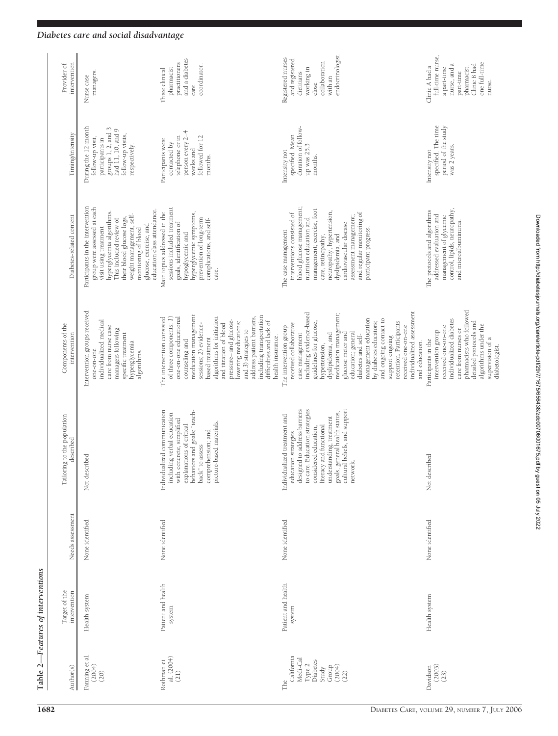| Table 2-                                                                                  | -Features of interventions    |                  |                                                                                                                                                                                                                                                                                     |                                                                                                                                                                                                                                                                                                                                                                                                                                                             |                                                                                                                                                                                                                                                                                                                           |                                                                                                                                             |                                                                                                                                          |
|-------------------------------------------------------------------------------------------|-------------------------------|------------------|-------------------------------------------------------------------------------------------------------------------------------------------------------------------------------------------------------------------------------------------------------------------------------------|-------------------------------------------------------------------------------------------------------------------------------------------------------------------------------------------------------------------------------------------------------------------------------------------------------------------------------------------------------------------------------------------------------------------------------------------------------------|---------------------------------------------------------------------------------------------------------------------------------------------------------------------------------------------------------------------------------------------------------------------------------------------------------------------------|---------------------------------------------------------------------------------------------------------------------------------------------|------------------------------------------------------------------------------------------------------------------------------------------|
| Author(s)                                                                                 | Target of the<br>intervention | Needs assessment | Tailoring to the population<br>described                                                                                                                                                                                                                                            | Components of the<br>intervention                                                                                                                                                                                                                                                                                                                                                                                                                           | Diabetes-related content                                                                                                                                                                                                                                                                                                  | Timing/intensity                                                                                                                            | intervention<br>Provider of                                                                                                              |
| Fanning et al.<br>(200 <del>4</del> )<br>(20)                                             | Health system                 | None identified  | Not described                                                                                                                                                                                                                                                                       | Intervention groups received<br>individualized medical<br>care from nurse case<br>managers following<br>specific treatment<br>hyperglycemia<br>one-on-one<br>algorithms.                                                                                                                                                                                                                                                                                    | Participants in the intervention<br>group were assessed at each<br>education class attendance.<br>hyperglycemia algorithms.<br>weight management, self-<br>their blood glucose logs,<br>This included review of<br>glucose, exercise, and<br>visit using treatment<br>monitoring of blood                                 | During the 12-month<br>groups 1, 2, and 3<br>had 11, 10, and 9<br>follow-up visits,<br>follow-up visit,<br>participants in<br>respectively. | managers.<br>Nurse case                                                                                                                  |
| al. $(2004)$<br>Rothman et<br>(21)                                                        | Patient and health<br>system  | None identified  | Individualized communication<br>explanations of critical<br>behaviors and goals; "teach-<br>including verbal education<br>with concrete, simplified<br>picture-based materials.<br>comprehension; and<br>back" to assess                                                            | medication management<br>including transportation<br>address patient barriers,<br>algorithms for initiation<br>The intervention consisted<br>of three components: 1)<br>one-on-one educational<br>pressure-and glucose-<br>difficulties and lack of<br>lowering medications;<br>sessions; 2) evidence-<br>and titration of blood<br>and 3) strategies to<br>health insurance.<br>based treatment<br>counseling and                                          | sessions included treatment<br>Main topics addressed in the<br>hyperglycemic symptoms,<br>prevention of long-term<br>complications, and self-<br>goals, identification of<br>hypoglycemic and<br>care.                                                                                                                    | person every 2-4<br>followed for 12<br>telephone or in<br>Participants were<br>contacted by<br>weeks and<br>months.                         | and a diabetes<br>practitioners<br>coordinator.<br>pharmacist<br>Three clinical<br>care                                                  |
| California<br>Medi-Cal<br>Diabetes<br>Type $2$<br>(2004)<br>Group<br>Study<br>(22)<br>The | Patient and health<br>system  | None identified  | to care. Education strategies<br>designed to address barriers<br>cultural beliefs, and support<br>goals, general health status,<br>Individualized treatment and<br>understanding, treatment<br>literacy and functional<br>considered education,<br>education strategies<br>network. | individualized assessment<br>including evidence-based<br>medication management;<br>management education<br>and ongoing contact to<br>retention. Participants<br>by diabetes educators;<br>guidelines for glucose,<br>received collaborative<br>The intervention group<br>received one-on-one<br>education; general<br>dyslipidemia, and<br>glucose meter and<br>case management<br>diabetes and self-<br>support ongoing<br>and education.<br>hypertension, | blood glucose management;<br>management; exercise, foot<br>neuropathy, hypertension,<br>interventions consisted of<br>and regular monitoring of<br>assessment management;<br>nutrition education and<br>cardiovascular disease<br>participant progress.<br>The case management<br>care, retinopathy,<br>dyslipidemia, and | duration of follow-<br>specified. Mean<br>up was 25.3<br>Intensity not<br>months.                                                           | endocrinologist.<br>Registered nurses<br>and registered<br>collaboration<br>working in<br>dietitians<br>with an<br>close                 |
| (2003)<br>Davidson<br>$(23)$                                                              | Health system                 | None identified  | Not described                                                                                                                                                                                                                                                                       | pharmacists who followed<br>individualized diabetes<br>detailed protocols and<br>algorithms under the<br>received one-on-one<br>care from nurses or<br>intervention group<br>supervision of a<br>Participants in the<br>diabetologist.                                                                                                                                                                                                                      | control, lipids, neuropathy,<br>The protocols and algorithms<br>addressed evaluation and<br>management of glycemic<br>and microalbuminuria.                                                                                                                                                                               | period of the study<br>specified. The time<br>was 2 years.<br>Intensity not                                                                 | full-time nurse,<br>one full-time<br>nurse, and a<br>Clinic B had<br>Clinic A had a<br>pharmacist.<br>a part-time<br>part-time<br>nurse. |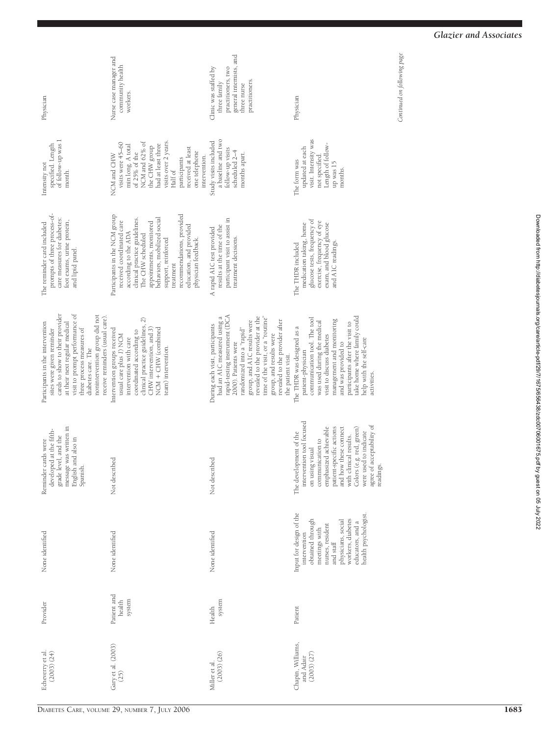| Physician                                                                                                                                                                                                                                                                                 | Nurse case manager and<br>community health<br>workers.                                                                                                                                                                                                                                                                | general internists, and<br>practitioners, two<br>Clinic was staffed by<br>practitioners.<br>three family<br>three nurse                                                                                                                                                                                                                        | Physician                                                                                                                                                                                                                                                                                                   | Continued on following page |
|-------------------------------------------------------------------------------------------------------------------------------------------------------------------------------------------------------------------------------------------------------------------------------------------|-----------------------------------------------------------------------------------------------------------------------------------------------------------------------------------------------------------------------------------------------------------------------------------------------------------------------|------------------------------------------------------------------------------------------------------------------------------------------------------------------------------------------------------------------------------------------------------------------------------------------------------------------------------------------------|-------------------------------------------------------------------------------------------------------------------------------------------------------------------------------------------------------------------------------------------------------------------------------------------------------------|-----------------------------|
| of follow-up was 1<br>specified. Length<br>Intensity not<br>month.                                                                                                                                                                                                                        | NCM and 62% of<br>visits over 2 years<br>visits were 45-60<br>had at least three<br>min long. A total<br>the CHW group<br>received at least<br>of 25% of the<br>one telephone<br>NCM and CHW<br>intervention.<br>participants<br>Half of                                                                              | a baseline and two<br>Study visits included<br>follow-up visits<br>scheduled 2-4<br>months apart.                                                                                                                                                                                                                                              | visit. Intensity was<br>Length of follow-<br>updated at each<br>not specified.<br>The form was<br>up was 15<br>months                                                                                                                                                                                       |                             |
| prompts of three process-of-<br>care measures for diabetes:<br>foot exams, urine protein,<br>The reminder card included<br>and lipid panel.                                                                                                                                               | Participants in the NCM group<br>recommendations, provided<br>behaviors, mobilized social<br>clinical practice guidelines.<br>received coordinated care<br>appointments, monitored<br>education, and provided<br>according to the ADA<br>The CHW scheduled<br>support, reinforced<br>physician feedback.<br>treatment | participant visit to assist in<br>results at the time of the<br>A rapid AIC test provided<br>treatment decisions.                                                                                                                                                                                                                              | glucose tests, frequency of<br>exercise, frequency of eye<br>medication taking, home<br>exam, and blood glucose<br>and A1C readings.<br>The THDR included                                                                                                                                                   |                             |
| cards to show to their provider<br>visit to prompt performance of<br>nonintervention group did not<br>receive reminders (usual care)<br>at their next regular medical<br>Participants in the intervention<br>sites were given reminder<br>three process measures of<br>diabetes care. The | clinical practice guidelines, 2)<br>CHW intervention, and 3)<br>NCM + CHW (combined<br>Intervention groups received<br>coordinated according to<br>usual care plus 1) NCM<br>intervention with care<br>team) intervention.                                                                                            | rapid-testing instrument (DCA<br>time of the visit, or a "routine"<br>revealed to the provider at the<br>had an A1C measured using a<br>revealed to the provider after<br>group, and A1C results were<br>During each visit, participants<br>randomized into a "rapid"<br>group, and results were<br>2000). Patients were<br>the patient visit. | take home where family could<br>communication tool. The tool<br>management and monitoring<br>was used during the medical<br>participants after the visit to<br>The THDR was designed as a<br>visit to discuss diabetes<br>help with the self-care<br>and was provided to<br>patient-physician<br>activities |                             |
| message was written in<br>developed at the fifth-<br>grade level, and the<br>English and also in<br>Reminder cards were<br>Spanish.                                                                                                                                                       | Not described                                                                                                                                                                                                                                                                                                         | Not described                                                                                                                                                                                                                                                                                                                                  | intervention tool focused<br>agree of acceptability of<br>emphasized achievable<br>and how these connect<br>Colors (e.g. red, green)<br>patient-specific actions<br>were used to indicate<br>The development of the<br>with clinical results.<br>communication to<br>on using visual<br>readings.           |                             |
| None identified                                                                                                                                                                                                                                                                           | None identified                                                                                                                                                                                                                                                                                                       | None identified                                                                                                                                                                                                                                                                                                                                | Input for design of the<br>nealth psychologist<br>workers, diabetes<br>physicians, social<br>obtained through<br>educators, and a<br>nurses, resident<br>meetings with<br>intervention<br>and staff                                                                                                         |                             |
| Provider                                                                                                                                                                                                                                                                                  | Patient and<br>system<br>health                                                                                                                                                                                                                                                                                       | system<br>Health                                                                                                                                                                                                                                                                                                                               | Patient                                                                                                                                                                                                                                                                                                     |                             |
| Echeverry et al.<br>(2003)(24)                                                                                                                                                                                                                                                            | Gary et al. (2003)<br>(25)                                                                                                                                                                                                                                                                                            | (2003)(26)<br>Miller et al.                                                                                                                                                                                                                                                                                                                    | Chapin, Williams,<br>(2003) (27)<br>and Adair                                                                                                                                                                                                                                                               |                             |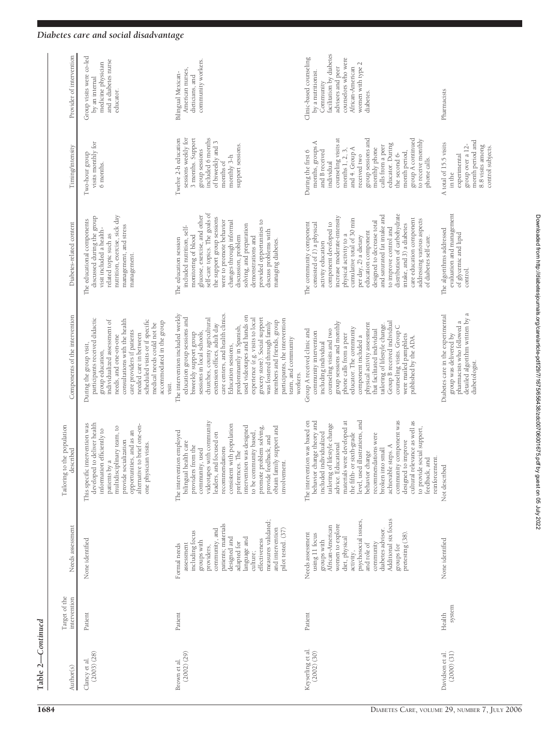# ${\rm Table}~2{\rm--}Continued$ **Table 2—***Continued*

| Provider of intervention                    | Group visits were co-led<br>and a diabetes nurse<br>medicine physician<br>by an internal<br>educator.                                                                                                                                                                                                                                   | community workers.<br>American nurses,<br>Bilingual Mexican-<br>dieticians, and                                                                                                                                                                                                                                                                                                                                                                                                                                            | facilitation by diabetes<br>Clinic-based counseling<br>counselors who were<br>women with type 2<br>advisors and peer<br>African-American<br>by a nutritionist.<br>Community<br>diabetes                                                                                                                                                                                                                                                                                                 | Pharmacists                                                                                                                                    |
|---------------------------------------------|-----------------------------------------------------------------------------------------------------------------------------------------------------------------------------------------------------------------------------------------------------------------------------------------------------------------------------------------|----------------------------------------------------------------------------------------------------------------------------------------------------------------------------------------------------------------------------------------------------------------------------------------------------------------------------------------------------------------------------------------------------------------------------------------------------------------------------------------------------------------------------|-----------------------------------------------------------------------------------------------------------------------------------------------------------------------------------------------------------------------------------------------------------------------------------------------------------------------------------------------------------------------------------------------------------------------------------------------------------------------------------------|------------------------------------------------------------------------------------------------------------------------------------------------|
| Timing/intensity                            | Two-hour group<br>visits monthly for<br>6 months.                                                                                                                                                                                                                                                                                       | sessions weekly for<br>Twelve 2-h education<br>3 months. Support<br>included 6 months<br>of biweekly and 3<br>support sessions.<br>group sessions<br>monthly 3-h<br>months of                                                                                                                                                                                                                                                                                                                                              | group sessions and<br>group A continued<br>counseling visits at<br>to receive monthly<br>months, groups A<br>educator. During<br>calls from a peer<br>and 4. Group A<br>monthly phone<br>months 1, 2, 3,<br>During the first 6<br>and B received<br>month period<br>the second 6-<br>received two<br>phone calls.<br>individual                                                                                                                                                         | month period and<br>A total of 15.5 visits<br>group over a 12-<br>8.8 visits among<br>control subjects.<br>experimental<br>in the              |
| Diabetes-related content                    | nutrition, exercise, sick day<br>discussed during the group<br>The educational components<br>management, and stress<br>visit included a health-<br>related topic such as<br>management.                                                                                                                                                 | self-care topics. The goals of<br>glucose, exercise, and other<br>the support group sessions<br>were to promote behavior<br>provided opportunities to<br>changes through informal<br>solving, and preparation<br>included nutrition, self-<br>discuss problems with<br>monitoring of blood<br>discussion, problem<br>demonstrations and<br>The education session<br>managing diabetes.                                                                                                                                     | distribution of carbohydrate<br>and saturated fat intake and<br>increase moderate-intensity<br>care education component<br>cumulative total of 30 min<br>addressing various aspects<br>designed to decrease total<br>The community component<br>consisted of 1) a physical<br>component developed to<br>intake, and 3) a diabetes<br>to improve control and<br>education component<br>physical activity to a<br>per day, 2) a dietary<br>of diabetes self-care.<br>activity education   | evaluation and management<br>The algorithms addressed<br>of glycemic and lipid<br>control.                                                     |
| Components of the intervention              | participants received didactic<br>consultations with the health<br>scheduled visits or if specific<br>individualized assessment of<br>accommodated in the group<br>medical needs could not be<br>care providers if patients<br>needed care in between<br>needs, and one-on-one<br>During the group visit,<br>group education,<br>visit. | care centers, and health clinics.<br>The intervention included weekly<br>used videotapes and hands on<br>education group sessions and<br>grocery store). Social support<br>churches, county agricultural<br>experience (e.g. visits to local<br>participants, the intervention<br>members and friends, group<br>was fostered through family<br>extension offices, adult day<br>predominantly in Spanish,<br>sessions in local schools,<br>biweekly support group<br>team, and community<br>Education sessions,<br>workers. | Group B received individual<br>group sessions and monthly<br>physical activity assessment<br>tailoring of lifestyle change.<br>counseling visits. Group C<br>educator. The community<br>counseling visits and two<br>that facilitated individual<br>Group A received clinic and<br>community intervention<br>phone calls from a peer<br>were mailed pamphlets<br>component included a<br>published by the ADA.<br>including individual                                                  | detailed algorithm written by a<br>Diabetes care in the experimental<br>pharmacists who followed a<br>group was delivered by<br>diabetologist. |
| to the population<br>described<br>Tailoring | developed to deliver health<br>ic intervention was<br>alternative to brief one-on-<br>multidisciplinary team, to<br>information efficiently to<br>opportunities, and as an<br>provide socialization<br>one physician visits.<br>patients by a<br>This specifi                                                                           | videotapes with community<br>consistent with population<br>obtain family support and<br>intervention was designed<br>promote problem solving,<br>The intervention employed<br>to be community based,<br>leaders, and focused on<br>provide feedback, and<br>bilingual health care<br>providers from the<br>recommendations<br>community, used<br>preferences. The<br>involvement.                                                                                                                                          | level, used illustrations, and<br>community component was<br>cultural relevance as well as<br>The intervention was based on<br>materials were developed at<br>behavior change theory and<br>tailoring of lifestyle change<br>to provide social support,<br>included individualized<br>the fifth- or sixth-grade<br>recommendations were<br>designed to improve<br>advice. Educational<br>achievable steps. A<br>broken into small<br>behavior change<br>reinforcement.<br>feedback, and | Not described                                                                                                                                  |
| Needs assessment                            | None identified                                                                                                                                                                                                                                                                                                                         | measures validated;<br>patients; materials<br>and intervention<br>community, and<br>pilot tested. (37)<br>including focus<br>designed and<br>language and<br>effectiveness<br>groups with<br>adapted for<br>assessment<br>Formal needs<br>providers,<br>culture;                                                                                                                                                                                                                                                           | Additional six focus<br>psychosocial issues,<br>women to explore<br>African-American<br>diabetes advisor.<br>Needs assessment<br>pretesting (38).<br>using 11 focus<br>diet, physical<br>groups with<br>community<br>and role of<br>groups for<br>activity,                                                                                                                                                                                                                             | None identified                                                                                                                                |
| Target of the<br>intervention               | Patient                                                                                                                                                                                                                                                                                                                                 | Patient                                                                                                                                                                                                                                                                                                                                                                                                                                                                                                                    | Patient                                                                                                                                                                                                                                                                                                                                                                                                                                                                                 | system<br>Health                                                                                                                               |
| Author(s)                                   | (2003)(28)<br>Clancy et al.                                                                                                                                                                                                                                                                                                             | (2002) (29)<br>Brown et al.                                                                                                                                                                                                                                                                                                                                                                                                                                                                                                | Keyserling et al.<br>(2002) (30)                                                                                                                                                                                                                                                                                                                                                                                                                                                        | (2000) (31)<br>Davidson et al.                                                                                                                 |

# *Diabetes care and social disadvantage*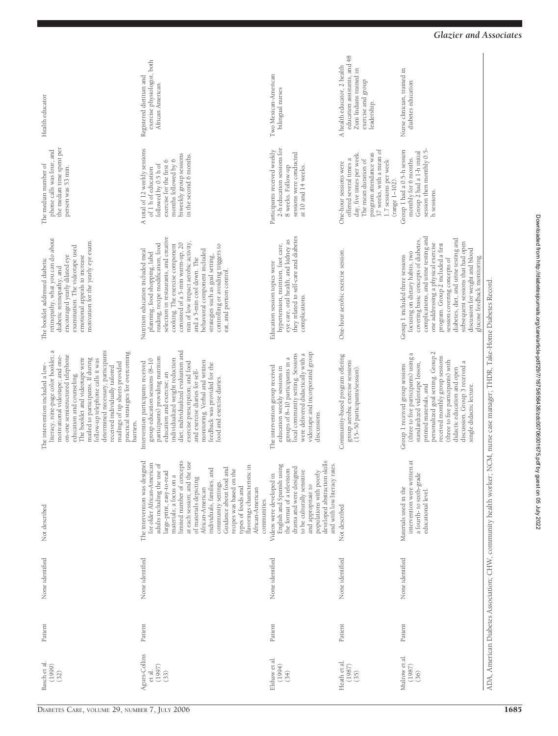| Health educator                                                                                                                                                                                                                                                                                                                                                                                                                                        | exercise physiologist, both<br>Registered dietitian and<br>African American.                                                                                                                                                                                                                                                                                                                                                                                                                    | Two Mexican-American<br>bilingual nurses                                                                                                                                                                                                                      | education assistants, and 48<br>A health educator, 2 health<br>Zuni Indians trained in<br>exercise and group<br>leadership.                                                                                 | Nurse clinician, trained in<br>diabetes education                                                                                                                                                                                                                                                                                                                                                              |                                                                   |
|--------------------------------------------------------------------------------------------------------------------------------------------------------------------------------------------------------------------------------------------------------------------------------------------------------------------------------------------------------------------------------------------------------------------------------------------------------|-------------------------------------------------------------------------------------------------------------------------------------------------------------------------------------------------------------------------------------------------------------------------------------------------------------------------------------------------------------------------------------------------------------------------------------------------------------------------------------------------|---------------------------------------------------------------------------------------------------------------------------------------------------------------------------------------------------------------------------------------------------------------|-------------------------------------------------------------------------------------------------------------------------------------------------------------------------------------------------------------|----------------------------------------------------------------------------------------------------------------------------------------------------------------------------------------------------------------------------------------------------------------------------------------------------------------------------------------------------------------------------------------------------------------|-------------------------------------------------------------------|
| the median time spent per<br>phone calls was four, and<br>The median number of<br>person was 53 min.                                                                                                                                                                                                                                                                                                                                                   | A total of 12 weekly sessions<br>biweekly group sessions<br>in the second 6 months.<br>months followed by 6<br>exercise for the first 6<br>followed by 0.5 h of<br>of 1 h of education                                                                                                                                                                                                                                                                                                          | 2-h education sessions for<br>Participants received weekly<br>sessions were conducted<br>8 weeks. Follow-up<br>at 10 and 14 weeks.                                                                                                                            | 37 weeks, with a mean of<br>day, five times per week.<br>program attendance was<br>offered several times a<br>The mean duration of<br>1.7 sessions per week<br>One-hour sessions were<br>$(range 1 - 102).$ | Group 1 had a 0.5-h session<br>Group 2 had a 1-h initial<br>session then monthly 0.5<br>monthly for 6 months.<br>h sessions.                                                                                                                                                                                                                                                                                   |                                                                   |
| retinopathy, what you can do about<br>motivation for the yearly eye exam.<br>examination. The videotape used<br>encouraged yearly dilated eye<br>emotional appeals to increase<br>The booklet addressed diabetic<br>diabetic retinopathy, and                                                                                                                                                                                                          | selection in restaurants, and creative<br>consisted of a 5-min warm-up, 20<br>min of low impact aerobic activity<br>reading, recipe modification, food<br>cooking. The exercise component<br>controlling or avoiding triggers to<br>behavioral component included<br>Nutrition education included meal<br>planning, food shopping, label<br>strategies such as goal setting,<br>and a 5-min cool down. The<br>eat, and portion control.                                                         | they related to self-care and diabetes<br>eye care, oral health, and kidney as<br>hypertension, nutrition, foot care,<br>Education session topics were<br>complications.                                                                                      | One-hour aerobic exercise session.                                                                                                                                                                          | complications, and urine testing and<br>diabetes, diet, and urine testing and<br>covering basic concepts of diabetes,<br>subsequent sessions that had open<br>one addressing a physical exercise<br>program. Group 2 included a first<br>discussion for weight and blood<br>focusing on dietary habits, two<br>Group 1 included three sessions<br>glucose feedback monitoring.<br>session covering concepts of |                                                                   |
| literacy, nine-page color booklet; a<br>motivational videotape; and one-<br>determined necessary, participants<br>practical strategies for overcoming<br>on-one semistructured telephone<br>The booklet and videotape were<br>mailed to participants. If during<br>follow-up telephone calls it was<br>mailings of tip sheets provided<br>The intervention included a low-<br>received individually tailored<br>education and counseling.<br>barriers. | diet; individualized evaluation and<br>participants) providing nutrition<br>individualized weight reduction<br>group education sessions (8-10<br>monitoring. Verbal and written<br>exercise prescription; and food<br>Intervention participants received<br>feedback was provided for the<br>and exercise diaries for self-<br>education and exercise; an<br>food and exercise diaries                                                                                                          | videotape and incorporated group<br>local community setting. Sessions<br>were delivered didactically with a<br>groups of 8-10 participants in a<br>The intervention group received<br>education weekly sessions in<br>discussions.                            | Community-based program offering<br>group aerobic exercise sessions<br>(15-50 participants/session).                                                                                                        | personalized goal setting. Group 2<br>(three to five participants) using a<br>received monthly group sessions<br>(three to five participants) with<br>discussion. Group 3 received a<br>standardized videotape lesson,<br>Group 1 received group sessions<br>didactic education and open<br>printed materials, and<br>single didactic lecture.                                                                 | NCM, nurse case manager; THDR, Take-Home Diabetes Record          |
| Not described                                                                                                                                                                                                                                                                                                                                                                                                                                          | The intervention was designed<br>limited number of concepts<br>at each session; and the use<br>for older African-American<br>$\overline{\mathrm{d}}$<br>E.<br>Guidance about food and<br>individuals, families, and<br>recipes was based on the<br>adults including the use<br>large-print, easy-to-read<br>flavorings characteristic<br>materials; a focus on a<br>of materials depicting<br>community settings.<br>types of foods and<br>African-American<br>African-American<br>communities. | developed abstraction skills<br>and with low literacy rates.<br>English and Spanish using<br>drama and were designed<br>the format of a television<br>to be culturally sensitive<br>populations with poorly<br>Videos were developed in<br>and appropriate to | Not described                                                                                                                                                                                               | intervention were written at<br>a fourth- to sixth-grade<br>Materials used in the<br>educational level.                                                                                                                                                                                                                                                                                                        | ADA, American Diabetes Association; CHW, community health worker; |
| None identified                                                                                                                                                                                                                                                                                                                                                                                                                                        | None identified                                                                                                                                                                                                                                                                                                                                                                                                                                                                                 | None identified                                                                                                                                                                                                                                               | None identified                                                                                                                                                                                             | None identified                                                                                                                                                                                                                                                                                                                                                                                                |                                                                   |
| Patient                                                                                                                                                                                                                                                                                                                                                                                                                                                | Patient                                                                                                                                                                                                                                                                                                                                                                                                                                                                                         | Patient                                                                                                                                                                                                                                                       | Patient                                                                                                                                                                                                     | Patient                                                                                                                                                                                                                                                                                                                                                                                                        |                                                                   |
| Basch et al.<br>(1999)<br>(32)                                                                                                                                                                                                                                                                                                                                                                                                                         | Agurs-Collins<br>(1997)<br>et al.<br>(33)                                                                                                                                                                                                                                                                                                                                                                                                                                                       | Elshaw et al.<br>(1994)<br>(34)                                                                                                                                                                                                                               | Heath et al.<br>(1987)<br>(35)                                                                                                                                                                              | Mulrow et al.<br>(1987)<br>(36)                                                                                                                                                                                                                                                                                                                                                                                |                                                                   |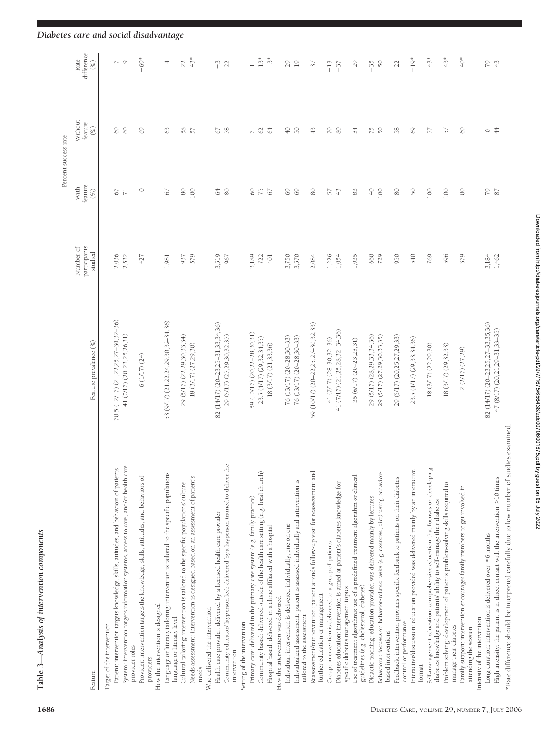| į<br><b>Contract Contract</b><br>i |
|------------------------------------|
| is case<br>1987.07.2019            |
| ١                                  |
| くちょうこう こうき                         |
| I<br>١                             |
|                                    |

| feature<br>With<br>$\circ$<br>$80$<br>$\infty$<br>75<br>$\rm 80$<br>100<br>64<br>$\overline{7}1$<br>67<br>67<br>$(\%)$<br>participants<br>Number of<br>studied<br>3,519<br>2,036<br>2,532<br>579<br>3,189<br>427<br>937<br>967<br>722<br>1,981<br>70.5 (12/17) (21, 22, 25, 27 - 30, 32 - 36)<br>53 (9/17) (21,22,24,29,30,32-34,36)<br>82 (14/17) (20-23, 25-31, 33, 34, 36)<br>59 (10/17) (20,22-28,30,31)<br>41 (7/17) (20-23, 25, 26, 31)<br>29 (5/17) (22,29,30,33,34)<br>29 (5/17) (25,29,30,32,35)<br>23.5 (4/17) (29,32,34,35)<br>Feature prevalence (%)<br>18 (3/17) (27,29,30)<br>6(1/17)(24)<br>Community educator/ layperson led: delivered by a layperson trained to deliver the<br>System: intervention targets information systems, access to care, and/or health care<br>Patient: intervention targets knowledge, skills, attitudes, and behaviors of patients<br>Language or literacy tailoring: intervention is tailored to the specific populations'<br>Community based: delivered outside of the health care setting (e.g. local church)<br>Needs assessment: intervention is designed based on an assessment of patient's<br>Provider: intervention targets the knowledge, skills, attitudes, and behaviors of<br>Cultural tailoring: intervention is tailored to the specific populations' culture<br>Primary care: delivered in the primary care system (e.g. family practice)<br>Health care provider: delivered by a licensed health care provider<br>How the intervention is designed<br>Who delivered the intervention<br>language or literacy level<br>Setting of the intervention<br>Target of the intervention<br>provider roles<br>intervention<br>providers<br>needs<br>Feature | Without<br>feature<br>$\circledast$<br>$\odot$<br>8<br>69<br>63<br>$58$<br>57<br>67<br>58<br>$\overline{z}$<br>62<br>64<br>$\overline{+}$ | difference<br>$13*$<br>$-69*$<br>$43*$<br>$\tilde{\tilde{c}}$<br>Rate<br>$\sim$ 0<br>29<br>$(\%)$<br>4<br>22<br>$\tilde{ }$<br>$\frac{1}{1}$<br>22 |
|-----------------------------------------------------------------------------------------------------------------------------------------------------------------------------------------------------------------------------------------------------------------------------------------------------------------------------------------------------------------------------------------------------------------------------------------------------------------------------------------------------------------------------------------------------------------------------------------------------------------------------------------------------------------------------------------------------------------------------------------------------------------------------------------------------------------------------------------------------------------------------------------------------------------------------------------------------------------------------------------------------------------------------------------------------------------------------------------------------------------------------------------------------------------------------------------------------------------------------------------------------------------------------------------------------------------------------------------------------------------------------------------------------------------------------------------------------------------------------------------------------------------------------------------------------------------------------------------------------------------------------------------------------------------------------------------------------------------|-------------------------------------------------------------------------------------------------------------------------------------------|----------------------------------------------------------------------------------------------------------------------------------------------------|
|                                                                                                                                                                                                                                                                                                                                                                                                                                                                                                                                                                                                                                                                                                                                                                                                                                                                                                                                                                                                                                                                                                                                                                                                                                                                                                                                                                                                                                                                                                                                                                                                                                                                                                                 |                                                                                                                                           |                                                                                                                                                    |
|                                                                                                                                                                                                                                                                                                                                                                                                                                                                                                                                                                                                                                                                                                                                                                                                                                                                                                                                                                                                                                                                                                                                                                                                                                                                                                                                                                                                                                                                                                                                                                                                                                                                                                                 |                                                                                                                                           |                                                                                                                                                    |
|                                                                                                                                                                                                                                                                                                                                                                                                                                                                                                                                                                                                                                                                                                                                                                                                                                                                                                                                                                                                                                                                                                                                                                                                                                                                                                                                                                                                                                                                                                                                                                                                                                                                                                                 |                                                                                                                                           |                                                                                                                                                    |
|                                                                                                                                                                                                                                                                                                                                                                                                                                                                                                                                                                                                                                                                                                                                                                                                                                                                                                                                                                                                                                                                                                                                                                                                                                                                                                                                                                                                                                                                                                                                                                                                                                                                                                                 |                                                                                                                                           |                                                                                                                                                    |
|                                                                                                                                                                                                                                                                                                                                                                                                                                                                                                                                                                                                                                                                                                                                                                                                                                                                                                                                                                                                                                                                                                                                                                                                                                                                                                                                                                                                                                                                                                                                                                                                                                                                                                                 |                                                                                                                                           |                                                                                                                                                    |
|                                                                                                                                                                                                                                                                                                                                                                                                                                                                                                                                                                                                                                                                                                                                                                                                                                                                                                                                                                                                                                                                                                                                                                                                                                                                                                                                                                                                                                                                                                                                                                                                                                                                                                                 |                                                                                                                                           |                                                                                                                                                    |
|                                                                                                                                                                                                                                                                                                                                                                                                                                                                                                                                                                                                                                                                                                                                                                                                                                                                                                                                                                                                                                                                                                                                                                                                                                                                                                                                                                                                                                                                                                                                                                                                                                                                                                                 |                                                                                                                                           |                                                                                                                                                    |
|                                                                                                                                                                                                                                                                                                                                                                                                                                                                                                                                                                                                                                                                                                                                                                                                                                                                                                                                                                                                                                                                                                                                                                                                                                                                                                                                                                                                                                                                                                                                                                                                                                                                                                                 |                                                                                                                                           |                                                                                                                                                    |
|                                                                                                                                                                                                                                                                                                                                                                                                                                                                                                                                                                                                                                                                                                                                                                                                                                                                                                                                                                                                                                                                                                                                                                                                                                                                                                                                                                                                                                                                                                                                                                                                                                                                                                                 |                                                                                                                                           |                                                                                                                                                    |
|                                                                                                                                                                                                                                                                                                                                                                                                                                                                                                                                                                                                                                                                                                                                                                                                                                                                                                                                                                                                                                                                                                                                                                                                                                                                                                                                                                                                                                                                                                                                                                                                                                                                                                                 |                                                                                                                                           |                                                                                                                                                    |
|                                                                                                                                                                                                                                                                                                                                                                                                                                                                                                                                                                                                                                                                                                                                                                                                                                                                                                                                                                                                                                                                                                                                                                                                                                                                                                                                                                                                                                                                                                                                                                                                                                                                                                                 |                                                                                                                                           |                                                                                                                                                    |
| 67<br>401<br>18 (3/17) (21,33,36)<br>Hospital based: delivered in a clinic affiliated with a hospital<br>How the intervention was delivered                                                                                                                                                                                                                                                                                                                                                                                                                                                                                                                                                                                                                                                                                                                                                                                                                                                                                                                                                                                                                                                                                                                                                                                                                                                                                                                                                                                                                                                                                                                                                                     |                                                                                                                                           |                                                                                                                                                    |
| 69<br>3,750<br>76 (13/17) (20-28,30-33)<br>Individual: intervention is delivered individually, one on one                                                                                                                                                                                                                                                                                                                                                                                                                                                                                                                                                                                                                                                                                                                                                                                                                                                                                                                                                                                                                                                                                                                                                                                                                                                                                                                                                                                                                                                                                                                                                                                                       |                                                                                                                                           |                                                                                                                                                    |
| 69<br>3,570<br>76 (13/17) (20-28,30-33)<br>Individualized assessment: patient is assessed individually and intervention is<br>tailored to the assessment                                                                                                                                                                                                                                                                                                                                                                                                                                                                                                                                                                                                                                                                                                                                                                                                                                                                                                                                                                                                                                                                                                                                                                                                                                                                                                                                                                                                                                                                                                                                                        | 50                                                                                                                                        | 19                                                                                                                                                 |
| $\rm 80$<br>2,084<br>59 (10/17) (20-22, 25, 27-30, 32, 33)<br>Reassessment/reintervention: patient attends follow-up visit for reassessment and<br>further education or management                                                                                                                                                                                                                                                                                                                                                                                                                                                                                                                                                                                                                                                                                                                                                                                                                                                                                                                                                                                                                                                                                                                                                                                                                                                                                                                                                                                                                                                                                                                              | $\frac{1}{4}$                                                                                                                             | 57                                                                                                                                                 |
| 57<br>1,226<br>41 (7/17) (28-30, 32-36)<br>Group: intervention is delivered to a group of patients                                                                                                                                                                                                                                                                                                                                                                                                                                                                                                                                                                                                                                                                                                                                                                                                                                                                                                                                                                                                                                                                                                                                                                                                                                                                                                                                                                                                                                                                                                                                                                                                              | $\approx$                                                                                                                                 | $-13$                                                                                                                                              |
| 43<br>1,054<br>41 (7/17) (21,25,28,32-34,36)<br>Diabetes education: intervention is aimed at patient's diabetes knowledge for<br>specific diabetes management topics                                                                                                                                                                                                                                                                                                                                                                                                                                                                                                                                                                                                                                                                                                                                                                                                                                                                                                                                                                                                                                                                                                                                                                                                                                                                                                                                                                                                                                                                                                                                            | $80\,$                                                                                                                                    | $-37$                                                                                                                                              |
| $83$<br>1,935<br>35 (6/17) (20-23,25,31)<br>Use of treatment algorithms: use of a predefined treatment algorithm or clinical<br>guidelines (e.g. cholesterol, diabetes)                                                                                                                                                                                                                                                                                                                                                                                                                                                                                                                                                                                                                                                                                                                                                                                                                                                                                                                                                                                                                                                                                                                                                                                                                                                                                                                                                                                                                                                                                                                                         | 54                                                                                                                                        | 29                                                                                                                                                 |
| $\sqrt{4}$<br>660<br>29 (5/17) (28,29,33,34,36)<br>Didactic teaching: education provided was delivered mainly by lectures                                                                                                                                                                                                                                                                                                                                                                                                                                                                                                                                                                                                                                                                                                                                                                                                                                                                                                                                                                                                                                                                                                                                                                                                                                                                                                                                                                                                                                                                                                                                                                                       | 75                                                                                                                                        | $-35$                                                                                                                                              |
| $100\,$<br>729<br>29 (5/17) (27,29,30,33,35)<br>Behavioral: focuses on behavior-related tasks (e.g. exercise, diet) using behavior-<br>based interventions                                                                                                                                                                                                                                                                                                                                                                                                                                                                                                                                                                                                                                                                                                                                                                                                                                                                                                                                                                                                                                                                                                                                                                                                                                                                                                                                                                                                                                                                                                                                                      | $50\,$                                                                                                                                    | $\tilde{5}0$                                                                                                                                       |
| 80<br>950<br>29 (5/17) (20,25,27,29,33)<br>Feedback: intervention provides specific feedback to patients on their diabetes                                                                                                                                                                                                                                                                                                                                                                                                                                                                                                                                                                                                                                                                                                                                                                                                                                                                                                                                                                                                                                                                                                                                                                                                                                                                                                                                                                                                                                                                                                                                                                                      | 58                                                                                                                                        | 22                                                                                                                                                 |
| $\tilde{D}$<br>540<br>23.5 (4/17) (29,33,34,36)<br>Interactive/discussion: education provided was delivered mainly by an interactive<br>control or performance                                                                                                                                                                                                                                                                                                                                                                                                                                                                                                                                                                                                                                                                                                                                                                                                                                                                                                                                                                                                                                                                                                                                                                                                                                                                                                                                                                                                                                                                                                                                                  | 69                                                                                                                                        | $-19*$                                                                                                                                             |
| format                                                                                                                                                                                                                                                                                                                                                                                                                                                                                                                                                                                                                                                                                                                                                                                                                                                                                                                                                                                                                                                                                                                                                                                                                                                                                                                                                                                                                                                                                                                                                                                                                                                                                                          |                                                                                                                                           |                                                                                                                                                    |
| $100\,$<br>769<br>18 (3/17) (22,29,30)<br>Self-management education: comprehensive education that focuses on developing<br>diabetes knowledge and patients' ability to self-manage their diabetes                                                                                                                                                                                                                                                                                                                                                                                                                                                                                                                                                                                                                                                                                                                                                                                                                                                                                                                                                                                                                                                                                                                                                                                                                                                                                                                                                                                                                                                                                                               | 57                                                                                                                                        | $43*$                                                                                                                                              |
| 100<br>596<br>18 (3/17) (29,32,33)<br>Problem solving: development of patient's problem-solving skills required to<br>manage their diabetes                                                                                                                                                                                                                                                                                                                                                                                                                                                                                                                                                                                                                                                                                                                                                                                                                                                                                                                                                                                                                                                                                                                                                                                                                                                                                                                                                                                                                                                                                                                                                                     | 57                                                                                                                                        | $43*$                                                                                                                                              |
| 100<br>379<br>12 (2/17) (27,29)<br>Family support: intervention encourages family members to get involved in<br>attending the session                                                                                                                                                                                                                                                                                                                                                                                                                                                                                                                                                                                                                                                                                                                                                                                                                                                                                                                                                                                                                                                                                                                                                                                                                                                                                                                                                                                                                                                                                                                                                                           | $\infty$                                                                                                                                  | $^{*}$                                                                                                                                             |
| Intensity of the intervention                                                                                                                                                                                                                                                                                                                                                                                                                                                                                                                                                                                                                                                                                                                                                                                                                                                                                                                                                                                                                                                                                                                                                                                                                                                                                                                                                                                                                                                                                                                                                                                                                                                                                   |                                                                                                                                           |                                                                                                                                                    |
| F9<br>87<br>3,184<br>82 (14/17) (20-23, 25, 27-33, 35, 36)<br>Long duration: intervention is delivered over $\geq$ 6 months                                                                                                                                                                                                                                                                                                                                                                                                                                                                                                                                                                                                                                                                                                                                                                                                                                                                                                                                                                                                                                                                                                                                                                                                                                                                                                                                                                                                                                                                                                                                                                                     | $rac{4}{4}$<br>$\circ$                                                                                                                    | 79<br>$\ddot{+}$                                                                                                                                   |
| 1,462<br>$47(8/17)(20,21,29-31,33-35)$<br>*Rate difference should be interpreted carefully due to low number of studies examined<br>High intensity: the patient is in direct contact with the intervention >10 times                                                                                                                                                                                                                                                                                                                                                                                                                                                                                                                                                                                                                                                                                                                                                                                                                                                                                                                                                                                                                                                                                                                                                                                                                                                                                                                                                                                                                                                                                            |                                                                                                                                           |                                                                                                                                                    |

Downloaded from http://diabetesjournals.org/care/article-pdf/29/7/1675/656438/zdc00706001675.pdf by guest on 05 July 2022 Downloaded from http://diabetesjournals.org/care/article-pdf/29/7/1675/656438/zdc00706001675.pdf by guest on 05 July 2022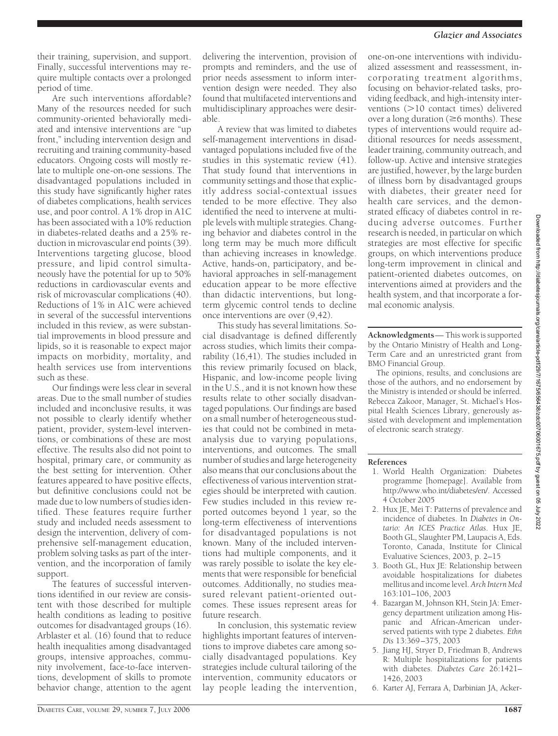their training, supervision, and support. Finally, successful interventions may require multiple contacts over a prolonged period of time.

Are such interventions affordable? Many of the resources needed for such community-oriented behaviorally mediated and intensive interventions are "up front," including intervention design and recruiting and training community-based educators. Ongoing costs will mostly relate to multiple one-on-one sessions. The disadvantaged populations included in this study have significantly higher rates of diabetes complications, health services use, and poor control. A 1% drop in A1C has been associated with a 10% reduction in diabetes-related deaths and a 25% reduction in microvascular end points (39). Interventions targeting glucose, blood pressure, and lipid control simultaneously have the potential for up to 50% reductions in cardiovascular events and risk of microvascular complications (40). Reductions of 1% in A1C were achieved in several of the successful interventions included in this review, as were substantial improvements in blood pressure and lipids, so it is reasonable to expect major impacts on morbidity, mortality, and health services use from interventions such as these.

Our findings were less clear in several areas. Due to the small number of studies included and inconclusive results, it was not possible to clearly identify whether patient, provider, system-level interventions, or combinations of these are most effective. The results also did not point to hospital, primary care, or community as the best setting for intervention. Other features appeared to have positive effects, but definitive conclusions could not be made due to low numbers of studies identified. These features require further study and included needs assessment to design the intervention, delivery of comprehensive self-management education, problem solving tasks as part of the intervention, and the incorporation of family support.

The features of successful interventions identified in our review are consistent with those described for multiple health conditions as leading to positive outcomes for disadvantaged groups (16). Arblaster et al. (16) found that to reduce health inequalities among disadvantaged groups, intensive approaches, community involvement, face-to-face interventions, development of skills to promote behavior change, attention to the agent

delivering the intervention, provision of prompts and reminders, and the use of prior needs assessment to inform intervention design were needed. They also found that multifaceted interventions and multidisciplinary approaches were desirable.

A review that was limited to diabetes self-management interventions in disadvantaged populations included five of the studies in this systematic review (41). That study found that interventions in community settings and those that explicitly address social-contextual issues tended to be more effective. They also identified the need to intervene at multiple levels with multiple strategies. Changing behavior and diabetes control in the long term may be much more difficult than achieving increases in knowledge. Active, hands-on, participatory, and behavioral approaches in self-management education appear to be more effective than didactic interventions, but longterm glycemic control tends to decline once interventions are over (9,42).

This study has several limitations. Social disadvantage is defined differently across studies, which limits their comparability (16,41). The studies included in this review primarily focused on black, Hispanic, and low-income people living in the U.S., and it is not known how these results relate to other socially disadvantaged populations. Our findings are based on a small number of heterogeneous studies that could not be combined in metaanalysis due to varying populations, interventions, and outcomes. The small number of studies and large heterogeneity also means that our conclusions about the effectiveness of various intervention strategies should be interpreted with caution. Few studies included in this review reported outcomes beyond 1 year, so the long-term effectiveness of interventions for disadvantaged populations is not known. Many of the included interventions had multiple components, and it was rarely possible to isolate the key elements that were responsible for beneficial outcomes. Additionally, no studies measured relevant patient-oriented outcomes. These issues represent areas for future research.

In conclusion, this systematic review highlights important features of interventions to improve diabetes care among socially disadvantaged populations. Key strategies include cultural tailoring of the intervention, community educators or lay people leading the intervention, one-on-one interventions with individualized assessment and reassessment, incorporating treatment algorithms, focusing on behavior-related tasks, providing feedback, and high-intensity interventions  $(>10$  contact times) delivered over a long duration ( $\geq 6$  months). These types of interventions would require additional resources for needs assessment, leader training, community outreach, and follow-up. Active and intensive strategies are justified, however, by the large burden of illness born by disadvantaged groups with diabetes, their greater need for health care services, and the demonstrated efficacy of diabetes control in reducing adverse outcomes. Further research is needed, in particular on which strategies are most effective for specific groups, on which interventions produce long-term improvement in clinical and patient-oriented diabetes outcomes, on interventions aimed at providers and the health system, and that incorporate a formal economic analysis.

**Acknowledgments**— This work is supported by the Ontario Ministry of Health and Long-Term Care and an unrestricted grant from BMO Financial Group.

The opinions, results, and conclusions are those of the authors, and no endorsement by the Ministry is intended or should be inferred. Rebecca Zakoor, Manager, St. Michael's Hospital Health Sciences Library, generously assisted with development and implementation of electronic search strategy.

#### **References**

- 1. World Health Organization: Diabetes programme [homepage]. Available from http://www.who.int/diabetes/en/. Accessed 4 October 2005
- 2. Hux JE, Mei T: Patterns of prevalence and incidence of diabetes. In *Diabetes in Ontario: An ICES Practice Atlas*. Hux JE, Booth GL, Slaughter PM, Laupacis A, Eds. Toronto, Canada, Institute for Clinical Evaluative Sciences, 2003, p. 2–15
- 3. Booth GL, Hux JE: Relationship between avoidable hospitalizations for diabetes mellitus and income level. *Arch Intern Med* 163:101–106, 2003
- 4. Bazargan M, Johnson KH, Stein JA: Emergency department utilization among Hispanic and African-American underserved patients with type 2 diabetes. *Ethn Dis* 13:369–375, 2003
- 5. Jiang HJ, Stryer D, Friedman B, Andrews R: Multiple hospitalizations for patients with diabetes. *Diabetes Care* 26:1421– 1426, 2003
- 6. Karter AJ, Ferrara A, Darbinian JA, Acker-